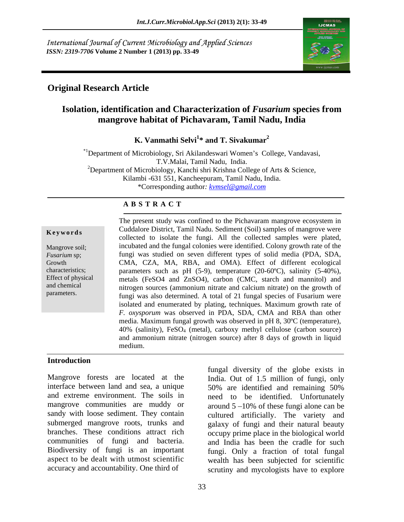International Journal of Current Microbiology and Applied Sciences *ISSN: 2319-7706* **Volume 2 Number 1 (2013) pp. 33-49**



### **Original Research Article**

### **Isolation, identification and Characterization of** *Fusarium* **species from mangrove habitat of Pichavaram, Tamil Nadu, India**

**K. Vanmathi Selvi<sup>1\*</sup> and T. Sivakumar<sup>2</sup> \* and T. Sivakumar<sup>2</sup>**

\*<sup>1</sup>Department of Microbiology, Sri Akilandeswari Women's College, Vandavasi, T.V.Malai, Tamil Nadu, India. <sup>2</sup>Department of Microbiology, Kanchi shri Krishna College of Arts & Science,

Kilambi -631 551, Kancheepuram, Tamil Nadu, India.

\*Corresponding author*: kvmsel@gmail.com*

### **A B S T R A C T**

**Keywords** Cumanote District, Fallin Naudi. Sedifficing Samples of manglove wele Mangrove soil; incubated and the fungal colonies were identified. Colony growth rate of the *Fusarium* sp; fungi was studied on seven different types of solid media (PDA, SDA, Growth CMA, CZA, MA, RBA, and OMA). Effect of different ecological characteristics; parameters such as pH (5-9), temperature (20-60ºC), salinity (5-40%), Effect of physical metals (FeSO4 and ZnSO4), carbon (CMC, starch and mannitol) and and chemical nitrogen sources (ammonium nitrate and calcium nitrate) on the growth of The present study was confined to the Pichavaram mangrove ecosystem in<br>
Cuddalore District, Tamil Nadu. Sediment (Soil) samples of mangrove were<br>
collected to isolate the fungi. All the collected samples were plated,<br>
incu Cuddalore District, Tamil Nadu. Sediment (Soil) samples of mangrove were collected to isolate the fungi. All the collected samples were plated, fungi was also determined. A total of 21 fungal species of Fusarium were isolated and enumerated by plating, techniques. Maximum growth rate of *F. oxysporum* was observed in PDA, SDA, CMA and RBA than other media. Maximum fungal growth was observed in pH 8, 30ºC (temperature), 40% (salinity), FeSO4 (metal), carboxy methyl cellulose (carbon source) and ammonium nitrate (nitrogen source) after 8 days of growth in liquid medium.

### **Introduction**

Mangrove forests are located at the India. Out of 1.5 million of fungi, only interface between land and sea, a unique 50% are identified and remaining 50% and extreme environment. The soils in need to be identified. Unfortunately mangrove communities are muddy or  $around 5 - 10\%$  of these fungi alone can be sandy with loose sediment. They contain cultured artificially. The variety and submerged mangrove roots, trunks and galaxy of fungi and their natural beauty branches. These conditions attract rich occupy prime place in the biological world communities of fungi and bacteria. and India has been the cradle for such Biodiversity of fungi is an important aspect to be dealt with utmost scientific

accuracy and accountability. One third of scrutiny and mycologists have to explore fungal diversity of the globe exists in fungi. Only a fraction of total fungal wealth has been subjected for scientific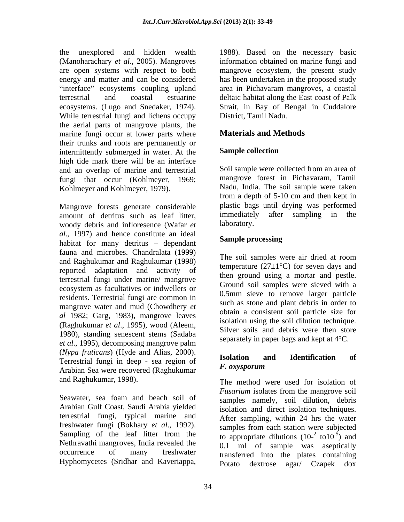the unexplored and hidden wealth 1988). Based on the necessary basic (Manoharachary *et al*., 2005). Mangroves information obtained on marine fungi and are open systems with respect to both mangrove ecosystem, the present study energy and matter and can be considered has been undertaken in the proposed study terrestrial and coastal estuarine deltaic habitat along the East coast of Palk ecosystems. (Lugo and Snedaker, 1974). Strait, in Bay of Bengal in Cuddalore While terrestrial fungi and lichens occupy the aerial parts of mangrove plants, the marine fungi occur at lower parts where their trunks and roots are permanently or<br>intermittently submerged in water. At the **Sample collection** intermittently submerged in water. At the high tide mark there will be an interface and an overlap of marine and terrestrial fungi that occur (Kohlmeyer, 1969; Kohlmeyer and Kohlmeyer, 1979).

Mangrove forests generate considerable plastic bags until drying was performed<br>amount of detrinus such as leaf litter immediately after sampling in the amount of detritus such as leaf litter, immediately<br>woody debris and infloresence (Wafar  $et$  laboratory. woody debris and infloresence (Wafar *et al.*, 1997) and hence constitute an ideal<br>hebitat for many detrive dependent **Sample processing** habitat for many detritus  $-$  dependant fauna and microbes. Chandralata (1999) and Raghukumar and Raghukumar (1998) reported adaptation and activity of terrestrial fungi under marine/ mangrove ecosystem as facultatives or indwellers or residents. Terrestrial fungi are common in mangrove water and mud (Chowdhery *et al* 1982; Garg, 1983), mangrove leaves (Raghukumar *et al*., 1995), wood (Aleem, 1980), standing senescent stems (Sadaba *et al*., 1995), decomposing mangrove palm (*Nypa fruticans*) (Hyde and Alias, 2000). Terrestrial fungi in deep - sea region of  $\frac{1801 \text{au}}{F}$ .  $\frac{1801 \text{au}}{F}$ Arabian Sea were recovered (Raghukumar

Seawater, sea foam and beach soil of Arabian Gulf Coast, Saudi Arabia yielded terrestrial fungi, typical marine and freshwater fungi (Bokhary *et al*., 1992). Nethravathi mangroves, India revealed the

interface" ecosystems coupling upland area in Pichavaram mangroves, a coastal District, Tamil Nadu.

### **Materials and Methods**

### **Sample collection**

Soil sample were collected from an area of mangrove forest in Pichavaram, Tamil Nadu, India. The soil sample were taken from a depth of 5-10 cm and then kept in plastic bags until drying was performed immediately after sampling in the laboratory.

### **Sample processing**

The soil samples were air dried at room temperature ( $27\pm1\textdegree C$ ) for seven days and then ground using a mortar and pestle. Ground soil samples were sieved with a 0.5mm sieve to remove larger particle such as stone and plant debris in order to obtain a consistent soil particle size for isolation using the soil dilution technique. Silver soils and debris were then store separately in paper bags and kept at 4°C.

### **Isolation and Identification of** *F. oxysporum*

and Raghukumar, 1998). The method were used for isolation of Sampling of the leaf litter from the to appropriate dilutions  $(10^{-2} \text{ to } 10^{-5})$  and occurrence of many freshwater transferred into the plates containing Hyphomycetes (Sridhar and Kaveriappa, Potato dextrose agar/ Czapek dox *Fusarium* isolates from the mangrove soil samples namely, soil dilution, debris isolation and direct isolation techniques. After sampling, within 24 hrs the water samples from each station were subjected to  $10^{-5}$ ) and  $-5$  and ) and 0.1 ml of sample was aseptically Potato dextrose agar/ Czapek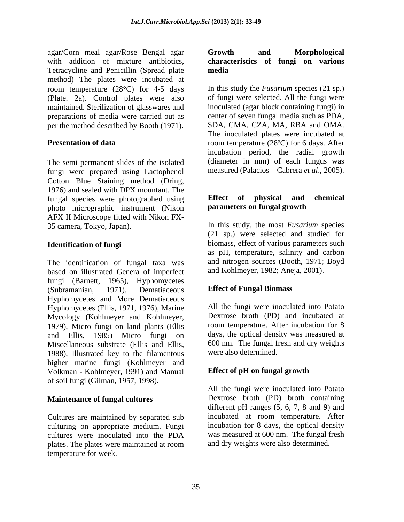agar/Corn meal agar/Rose Bengal agar with addition of mixture antibiotics, Tetracycline and Penicillin (Spread plate media method) The plates were incubated at (Plate. 2a). Control plates were also maintained. Sterilization of glasswares and preparations of media were carried out as per the method described by Booth (1971).

The semi permanent slides of the isolated fungi were prepared using Lactophenol Cotton Blue Staining method (Dring, 1976) and sealed with DPX mountant. The fungal species were photographed using **Effect** of **physical and chemical** photo micrographic instrument (Nikon AFX II Microscope fitted with Nikon FX-

The identification of fungal taxa was based on illustrated Genera of imperfect fungi (Barnett, 1965), Hyphomycetes (Subramanian, 1971), Dematiaceous Effect of Fungal Biomass Hyphomycetes and More Dematiaceous Hyphomycetes (Ellis, 1971, 1976), Marine Mycology (Kohlmeyer and Kohlmeyer, Dextrose broth (PD) and incubated at 1979), Micro fungi on land plants (Ellis room temperature. After incubation for 8 and Ellis, 1985) Micro fungi on days, the optical density was measured at Miscellaneous substrate (Ellis and Ellis, 1988), Illustrated key to the filamentous higher marine fungi (Kohlmeyer and Volkman - Kohlmeyer, 1991) and Manual of soil fungi (Gilman, 1957, 1998). **Example 1 Constrained Constrained Constrained Constrained Constrained Constrained Constrained Constrained Constrained Constrained Constrained Constrained Constrained Constrained Constrained**

Cultures are maintained by separated sub culturing on appropriate medium. Fungi cultures were inoculated into the PDA plates. The plates were maintained at room temperature for week.

## **characteristics of fungi on various media**

room temperature (28<sup>o</sup>C) for 4-5 days In this study the *Fusarium* species (21 sp.) **Presentation of data room** temperature (28°C) for 6 days. After of fungi were selected. All the fungi were inoculated (agar block containing fungi) in center of seven fungal media such as PDA, SDA, CMA, CZA, MA, RBA and OMA. The inoculated plates were incubated at incubation period, the radial growth (diameter in mm) of each fungus was measured (Palacios – Cabrera *et al.*, 2005).

### **Effect of physical and chemical parameters on fungal growth**

35 camera, Tokyo, Japan). In this study, the most *Fusarium* species **Identification of fungi** biomass, effect of various parameters such (21 sp.) were selected and studied for as pH, temperature, salinity and carbon and nitrogen sources (Booth, 1971; Boyd and Kohlmeyer, 1982; Aneja, 2001).

### **Effect of Fungal Biomass**

All the fungi were inoculated into Potato Dextrose broth (PD) and incubated at room temperature. After incubation for 8 600 nm. The fungal fresh and dry weights were also determined.

### **Effect of pH on fungal growth**

**Maintenance of fungal cultures** Dextrose broth (PD) broth containing All the fungi were inoculated into Potato different pH ranges (5, 6, 7, 8 and 9) and incubated at room temperature. After incubation for 8 days, the optical density was measured at 600 nm. The fungal fresh and dry weights were also determined.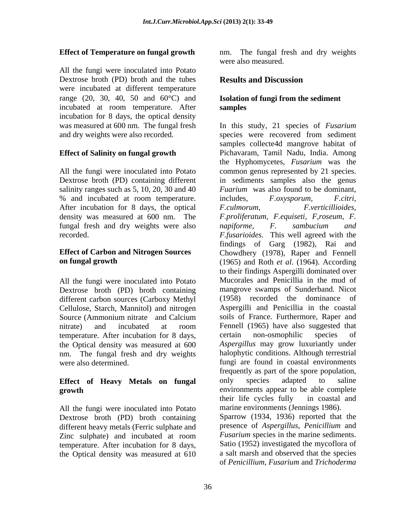### **Effect of Temperature on fungal growth**

All the fungi were inoculated into Potato Dextrose broth (PD) broth and the tubes were incubated at different temperature range (20, 30, 40, 50 and  $60^{\circ}$ C) and incubated at room temperature. After samples incubation for 8 days, the optical density

All the fungi were inoculated into Potato salinity ranges such as 5, 10, 20, 30 and 40 % and incubated at room temperature. includes, F.oxysporum, F.citri, After incubation for 8 days, the optical F.culmorum, F.verticillioides, fungal fresh and dry weights were also *napiforme*, F. sambucium and

All the fungi were inoculated into Potato Dextrose broth (PD) broth containing different carbon sources (Carboxy Methyl Cellulose, Starch, Mannitol) and nitrogen temperature. After incubation for 8 days, certain non-osmophilic species of the Optical density was measured at 600 nm. The fungal fresh and dry weights

All the fungi were inoculated into Potato Dextrose broth (PD) broth containing different heavy metals (Ferric sulphate and temperature. After incubation for 8 days, the Optical density was measured at 610

The fungal fresh and dry weights were also measured.

### **Results and Discussion**

### **Isolation of fungi from the sediment samples**

was measured at 600 nm. The fungal fresh In this study, 21 species of *Fusarium* and dry weights were also recorded. species were recovered from sediment **Effect of Salinity on fungal growth**  Pichavaram, Tamil Nadu, India. Among Dextrose broth (PD) containing different in sediments samples also the genus density was measured at 600 nm. The *F.proliferatum, F.equiseti, F,roseum, F.* recorded. *F.fusarioides*. This well agreed with the **Effect of Carbon and Nitrogen Sources**  Chowdhery (1978), Raper and Fennell **on fungal growth** (1965) and Roth *et al.* (1964). According Source (Ammonium nitrate and Calcium soils of France. Furthermore, Raper and nitrate) and incubated at room were also determined. fungi are found in coastal environments **Effect of Heavy Metals on fungal growth** environments appear to be able complete Zinc sulphate) and incubated at room *Fusarium* species in the marine sediments. samples collecte4d mangrove habitat of the Hyphomycetes, *Fusarium* was the common genus represented by 21 species. *Fuarium* was also found to be dominant, includes, *F.oxysporum, F.citri, F.culmorum, F.verticillioides, napiforme, F. sambucium and* findings of Garg (1982), Rai and to their findings Aspergilli dominated over Mucorales and Penicillia in the mud of mangrove swamps of Sunderband. Nicot (1958) recorded the dominance of Aspergilli and Penicillia in the coastal soils of France. Furthermore, Raper and Fennell (1965) have also suggested that certain non-osmophilic species of *Aspergillus* may grow luxuriantly under halophytic conditions. Although terrestrial frequently as part of the spore population, only species adapted to saline their life cycles fully in coastal and marine environments (Jennings 1986). Sparrow (1934, 1936) reported that the presence of *Aspergillus, Penicillium* and *Fusarium* species in the marine sediments. Satio (1952) investigated the mycoflora of a salt marsh and observed that the species of *Penicillium, Fusarium* and *Trichoderma*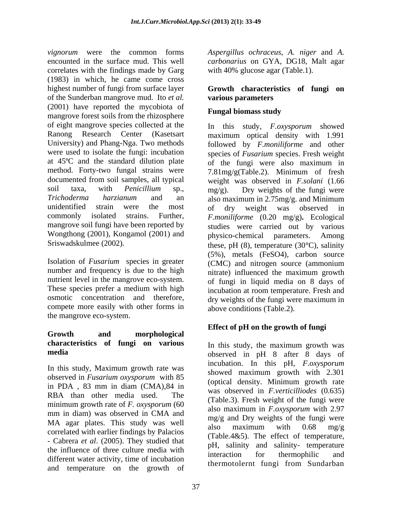*vignorum* were the common forms *Aspergillus ochraceus*, *A. niger* and *A.*  encounted in the surface mud. This well *carbonarius* on GYA, DG18, Malt agar correlates with the findings made by Garg (1983) in which, he came come cross highest number of fungi from surface layer **Growth characteristics of fungi on** of the Sunderban mangrove mud. Ito *et al.*  (2001) have reported the mycobiota of **Fungal biomass study** mangrove forest soils from the rhizosphere of eight mangrove species collected at the Ranong Research Center (Kasetsart maximum optical density with 1.991 University) and Phang-Nga. Two methods followed by *F.moniliforme* and other were used to isolate the fungi: incubation species of *Fusarium* species. Fresh weight at 45ºC and the standard dilution plate of the fungi were also maximum in method. Forty-two fungal strains were 7.81mg/g(Table.2). Minimum of fresh documented from soil samples, all typical weight was observed in *F.solani* (1.66 soil taxa, with *Penicillium* sp., mg/g). Dry weights of the fungi were *Trichoderma harzianum* and an also maximum in 2.75mg/g. and Minimum unidentified strain were the most of dry weight was observed in commonly isolated strains. Further, *F.moniliforme* (0.20 mg/g)**.** Ecological mangrove soil fungi have been reported by studies were carried out by various Wongthong (2001), Kongamol (2001) and physico-chemical parameters. Among

Isolation of *Fusarium* species in greater (CMC) and nitrogen source (ammonium number and frequency is due to the high nitrate) influenced the maximum growth nutrient level in the mangrove eco-system. osmotic concentration and therefore, compete more easily with other forms in the mangrove eco-system.

## **Growth and morphological characteristics of fungi on various**

In this study, Maximum growth rate was observed in *Fusarium oxysporum* with 85 minimum growth rate of *F. oxysporum* (60 mm in diam) was observed in CMA and MA agar plates. This study was well also maximum with  $0.68$  mg/g the influence of three culture media with<br>interaction for thermobilic and different water activity, time of incubation and temperature on the growth of

with 40% glucose agar (Table.1).

## **various parameters**

### **Fungal biomass study**

Sriswadskulmee (2002). 
these, pH (8), temperature (30°C), salinity These species prefer a medium with high incubation at room temperature. Fresh and In this study, *F.oxysporum* showed (5%), metals (FeSO4), carbon source (CMC) and nitrogen source (ammonium nitrate) influenced the maximum growth of fungi in liquid media on 8 days of dry weights of the fungi were maximum in above conditions (Table.2).

### **Effect of pH on the growth of fungi**

**media** observed in pH 8 after 8 days of in PDA,  $83$  mm in diam  $(CMA)$ ,  $84$  in  $CMA$  observed in Eventiallized  $(0.635)$ RBA than other media used. The  $(\text{Table 3})$  Fresh weight of the functions  $(\text{0.633})$ correlated with earlier findings by Palacios (Table.4&5). The effect of temperature,<br>- Cabrera *et al.* (2005). They studied that  $H = \text{colivity}$  and solinity temperature. In this study, the maximum growth was incubation. In this pH, *F.oxysporum* showed maximum growth with 2.301 (optical density. Minimum growth rate was observed in *F.verticilliodes* (0.635) (Table.3). Fresh weight of the fungi were also maximum in *F.oxysporum* with 2.97 mg/g and Dry weights of the fungi were also maximum with 0.68 mg/g (Table.4&5). The effect of temperature, pH, salinity and salinity- temperature interaction for thermophilic and thermotolernt fungi from Sundarban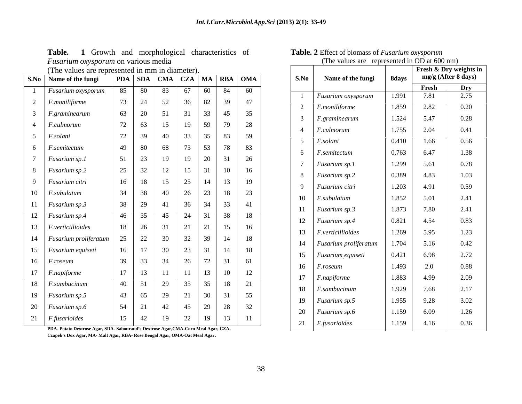| Table.<br>urphological_<br>and<br>eharacteristics<br>Growth<br>- OT | $\bullet$ $\bullet$<br>t of biomass of Fusarium oxysporum<br>anie.<br><b>2</b> Effect |                      |                    |  |  |  |  |
|---------------------------------------------------------------------|---------------------------------------------------------------------------------------|----------------------|--------------------|--|--|--|--|
| <i>Fusarium oxysporum</i> on various media                          | values ar<br>. 1 he                                                                   | represented in OD at | $(600 \text{ nm})$ |  |  |  |  |
|                                                                     |                                                                                       |                      |                    |  |  |  |  |

|  |  |  |  |  |  |  |  |  |  | The values are represented in mm in diameter |  |
|--|--|--|--|--|--|--|--|--|--|----------------------------------------------|--|
|--|--|--|--|--|--|--|--|--|--|----------------------------------------------|--|

| S.No   Name of the fungi    |    |    | PDA   SDA   CMA   CZA   MA   RBA   OMA |    |       |              |              | S.No | Name of the fungi             | 8days |       | mg/g (After 8 days) |
|-----------------------------|----|----|----------------------------------------|----|-------|--------------|--------------|------|-------------------------------|-------|-------|---------------------|
| Fusarium oxysporum          | 85 | 80 | 83                                     | 67 | 60 84 |              | 60           |      |                               |       | Fresh | Dry<br>2.75         |
| F.moniliforme               | 73 | 24 | 52                                     | 36 | 82    | 39           | 47           |      | Fusarium oxysporum            | 1.991 | 7.81  |                     |
| F.graminearum               | 63 | 20 | 51                                     | 31 | 33    | 45           | 35           |      | 2 <i>F.moniliforme</i>        | 1.859 | 2.82  | 0.20                |
| 4 <i>F.culmorum</i>         | 72 | 63 | 15                                     | 19 |       | 59 79        | 28           |      | $F_{\rm}$ graminearum         | 1.524 | 5.47  | 0.28                |
| F.solani                    | 72 | 39 | 40                                     | 33 | 35    | 83           | 59           |      | F. culmorum                   | 1.755 | 2.04  | 0.41                |
|                             | 49 | 80 |                                        |    | 53    | 78           |              |      | 5 <i>F.solani</i>             | 0.410 | 1.66  | 0.56                |
| F.semitectum                |    |    | 68                                     | 73 |       |              | 83           |      | 6 <i>F.semitectum</i>         | 0.763 | 6.47  | 1.38                |
| Fusarium sp.1               | 51 | 23 | 19                                     | 19 | 20    | 31           | 26           |      | Fusarium sp.1                 | 1.299 | 5.61  | 0.78                |
| 8 Fusarium sp.2             | 25 | 32 | 12                                     | 15 | 31    | 10           | 16           |      | 8 Fusarium sp.2               | 0.389 | 4.83  | 1.03                |
| 9 Fusarium citri            | 16 | 18 | 15                                     | 25 |       | $14$ 13      | 19           |      | 9 Fusarium citri              | 1.203 | 4.91  | 0.59                |
| 10 <i>F.subulatum</i>       | 34 | 38 | 40                                     | 26 | 23    | 18           | $\boxed{23}$ |      | $10$ <i>F.subulatum</i>       | 1.852 | 5.01  | 2.41                |
| 11 Fusarium sp.3            | 38 | 29 | 41                                     | 36 |       | 34 33        | $\vert$ 41   |      |                               |       |       |                     |
| 12 Fusarium sp.4            | 46 | 35 | 45                                     | 24 | 31    | 38           | 18           |      | 11 Fusarium sp.3              | 1.873 | 7.80  | 2.41                |
| 13 <i>F.verticillioides</i> | 18 | 26 | 31                                     | 21 | 21    | 15           | 16           |      | 12 Fusarium sp.4              | 0.821 | 4.54  | 0.83                |
| 14 Fusarium proliferatum    | 25 | 22 | 30                                     | 32 | 39    | 14           | 18           |      | 13   <i>F.verticillioides</i> | 1.269 | 5.95  | 1.23                |
|                             | 16 | 17 | 30                                     | 23 | 31    | 14           | 18           |      | 14 Fusarium proliferatum      | 1.704 | 5.16  | 0.42                |
| 15   Fusarium equiseti      |    |    |                                        |    |       |              |              |      | 15 Fusarium equiseti          | 0.421 | 6.98  | 2.72                |
| $16$ <i>F.roseum</i>        | 39 | 33 | 34                                     | 26 |       | 72 31        | 61           |      | $16$ <i>F.roseum</i>          | 1.493 | 2.0   | 0.88                |
| 17 <i>F.napiforme</i>       | 17 | 13 | 11                                     | 11 | 13 10 |              | 12           |      | 17 <i>F.napiforme</i>         | 1.883 | 4.99  | 2.09                |
| 18 <i>F.sambucinum</i>      | 40 | 51 | 29                                     | 35 | 35    | 18           | 21           |      | 18 <i>F.sambucinum</i>        | 1.929 | 7.68  | 2.17                |
| 19 Fusarium sp.5            | 43 | 65 | 29                                     | 21 |       | $30 \mid 31$ | 55           |      | 19 Fusarium sp.5              | 1.955 | 9.28  | 3.02                |
| 20 Fusarium sp.6            | 54 | 21 | 42                                     | 45 | 29    | 28           | 32           |      |                               |       |       |                     |
| $21$ <i>F.fusarioides</i>   | 15 | 42 | 19                                     | 22 | 19    | 13           | -11          |      | 20 Fusarium sp.6              | 1.159 | 6.09  | 1.26                |
|                             |    |    |                                        |    |       |              |              |      | 21 $\mid$ F fusarioides       | 1.159 | 4 1 6 | 0.36                |

| 1 asar ami oxysporam on various mous                                                |    |                   |                                        |                              |  |                |                      | $\frac{1}{2}$ and $\frac{1}{2}$ are $\frac{1}{2}$ represented in OD at 000 nm/ |       |       |                        |
|-------------------------------------------------------------------------------------|----|-------------------|----------------------------------------|------------------------------|--|----------------|----------------------|--------------------------------------------------------------------------------|-------|-------|------------------------|
| (The values are represented in mm in diameter).                                     |    |                   |                                        |                              |  |                |                      |                                                                                |       |       | Fresh & Dry weights in |
| Name of the fungi                                                                   |    |                   | PDA   SDA   CMA   CZA   MA   RBA   OMA |                              |  | S.No           |                      | Name of the fungi                                                              | 8days |       | mg/g (After 8 days)    |
| Fusarium oxysporum                                                                  |    |                   | 85 80 83 67 60 84 60                   |                              |  |                |                      |                                                                                |       | Fresh | Dry<br>2.75            |
| F.moniliforme                                                                       | 73 | 24                | 52                                     | 36   82   39   47            |  |                |                      | Fusarium oxysporum                                                             | 1.991 | 7.81  |                        |
| F.graminearum                                                                       | 63 | $\sim 20$         | 51                                     | 31 33 45 35                  |  |                |                      | $F$ .moniliforme                                                               | 1.859 | 2.82  | 0.20                   |
| F.culmorum                                                                          | 72 | 63                | 15                                     |                              |  |                |                      | <i>F.graminearum</i>                                                           | 1.524 | 5.47  | 0.28                   |
| F.solani                                                                            | 72 | 39                | 40                                     | 33 35 83 59                  |  | $\overline{4}$ |                      | F. culmorum                                                                    | 1.755 | 2.04  | 0.41                   |
| F.semitectum                                                                        |    | 49 80             | 68                                     | 73 53 78 83                  |  |                | F.solani             |                                                                                | 0.410 | 1.66  | 0.56                   |
| Fusarium sp.1                                                                       | 51 | 23                | 19                                     | 19   20   31   26            |  | 6              |                      | F.semitectum                                                                   | 0.763 | 6.47  | 1.38                   |
| Fusarium sp.2                                                                       | 25 | 32                | 12                                     | $15 \mid 31 \mid 10 \mid 16$ |  |                |                      | Fusarium sp.1                                                                  | 1.299 | 5.61  | 0.78                   |
| Fusarium citri                                                                      | 16 | 18                | 15                                     | 25   14   13   19            |  |                |                      | 8 Fusarium sp.2                                                                | 0.389 | 4.83  | 1.03                   |
| F.subulatum                                                                         | 34 | 38 l              | 40                                     | 26 23 18 23                  |  |                |                      | 9 Fusarium citri                                                               | 1.203 | 4.91  | 0.59                   |
|                                                                                     |    |                   |                                        |                              |  |                |                      | 10 <i>F.subulatum</i>                                                          | 1.852 | 5.01  | 2.41                   |
| Fusarium sp.3                                                                       |    | 38   29           | 41                                     | 36 34 33 41                  |  |                |                      | Fusarium sp.3                                                                  | 1.873 | 7.80  | 2.41                   |
| Fusarium sp.4                                                                       | 46 | 35                | 45                                     | 24 31 38 18                  |  | 12             |                      | <b>Fusarium sp.4</b>                                                           | 0.821 | 4.54  | 0.83                   |
| F.verticillioides                                                                   | 18 | 26                | 31                                     | 21 21 15 16                  |  |                |                      | 13 <i>F. verticillioides</i>                                                   | 1.269 | 5.95  | 1.23                   |
| Fusarium proliferatum                                                               | 25 | 22                | 30                                     | 32 39 14 18                  |  |                |                      | 14 Fusarium proliferatum                                                       | 1.704 | 5.16  | 0.42                   |
| Fusarium equiseti                                                                   | 16 | 17                | 30                                     | 23 31 14 18                  |  |                |                      | 15 Fusarium_equiseti                                                           | 0.421 | 6.98  | 2.72                   |
| F.roseum                                                                            | 39 | 33                | 34                                     | $26$ 72 31 61                |  |                | $16$ <i>F.roseum</i> |                                                                                | 1.493 | 2.0   | 0.88                   |
| F.napiforme                                                                         | 17 | 13                |                                        | $11 \mid 13 \mid 10 \mid 12$ |  | 17             |                      | <i>F.napiforme</i>                                                             | 1.883 | 4.99  | 2.09                   |
| F.sambucinum                                                                        |    | $40 \mid 51 \mid$ | 29                                     | 35 35 18 21                  |  |                |                      | 18 <i>F.sambucinum</i>                                                         | 1.929 | 7.68  | 2.17                   |
| Fusarium sp.5                                                                       | 43 | 65                | 29                                     | 21 30 31 55                  |  |                |                      | 19 Fusarium sp.5                                                               | 1.955 |       |                        |
| Fusarium sp.6                                                                       | 54 | 21                | 42                                     | 45   29   28   32            |  |                |                      |                                                                                |       | 9.28  | 3.02                   |
| F.fusarioides                                                                       | 15 | 42                | 19                                     | 22   19   13   11            |  |                |                      | 20 Fusarium sp.6                                                               | 1.159 | 6.09  | 1.26                   |
| PDA- Potato Dextrose Agar, SDA- Sabouraud's Dextrose Agar, CMA-Corn Meal Agar, CZA- |    |                   |                                        |                              |  |                |                      | 21 <i>F.fusarioides</i>                                                        | 1.159 | 4.16  | 0.36                   |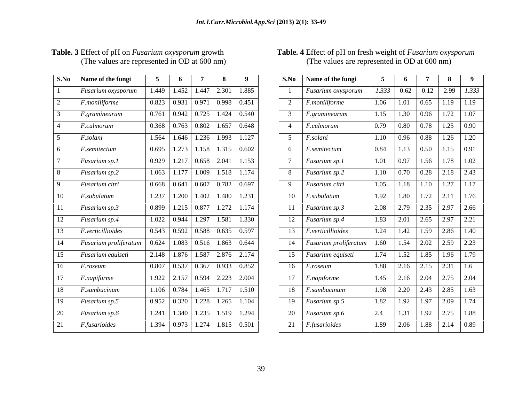| S.No           | Name of the fungi               | 5     | 6                  | 7     | 8     | 9     |
|----------------|---------------------------------|-------|--------------------|-------|-------|-------|
| 1              | Fusarium oxysporum              | 1.449 | 1.452              | 1.447 | 2.301 | 1.885 |
| $\overline{2}$ | F.moniliforme                   | 0.823 | 0.931              | 0.971 | 0.998 | 0.451 |
| 3              | F.graminearum                   | 0.761 | 0.942              | 0.725 | 1.424 | 0.540 |
| 4              | F.culmorum                      | 0.368 | 0.763              | 0.802 | 1.657 | 0.648 |
| 5              | F.solani                        | 1.564 | 1.646              | 1.236 | 1.993 | 1.127 |
| 6              | F.semitectum                    | 0.695 | 1.273              | 1.158 | 1.315 | 0.602 |
| 7              | Fusarium sp.1                   | 0.929 | 1.217              | 0.658 | 2.041 | 1.153 |
| 8              | Fusarium sp.2                   | 1.063 | 1.177              | 1.009 | 1.518 | 1.174 |
| 9              | Fusarium citri                  | 0.668 | 0.641              | 0.607 | 0.782 | 0.697 |
| 10             | F.subulatum                     | 1.237 | $\overline{1.200}$ | 1.402 | 1.480 | 1.231 |
| 11             | Fusarium sp.3                   | 0.899 | $\overline{1.215}$ | 0.877 | 1.272 | 1.174 |
| 12             | Fusarium sp.4                   | 1.022 | 0.944              | 1.297 | 1.581 | 1.330 |
| 13             | F.verticillioides               | 0.543 | 0.592              | 0.588 | 0.635 | 0.597 |
| 14             | Fusarium proliferatum           | 0.624 | 1.083              | 0.516 | 1.863 | 0.644 |
| 15             | $\overline{F}$ usarium equiseti | 2.148 | 1.876              | 1.587 | 2.876 | 2.174 |
| 16             | F.roseum                        | 0.807 | 0.537              | 0.367 | 0.933 | 0.852 |
| 17             | F.napiforme                     | 1.922 | $\overline{2.157}$ | 0.594 | 2.223 | 2.004 |
| 18             | F.sambucinum                    | 1.106 | 0.784              | 1.465 | 1.717 | 1.510 |
| 19             | Fusarium sp.5                   | 0.952 | 0.320              | 1.228 | 1.265 | 1.104 |
| 20             | Fusarium sp.6                   | 1.241 | 1.340              | 1.235 | 1.519 | 1.294 |
| 21             | F.fusarioides                   | 1.394 | 0.973              | 1.274 | 1.815 | 0.501 |
|                |                                 |       |                    |       |       |       |

### **Table. 3** Effect of pH on *Fusarium oxysporum* growth (The values are represented in OD at 600 nm) (The values are represented in OD at 600 nm)  **Table. 4** Effect of pH on fresh weight of *Fusarium oxysporum* (The values are represented in OD at 600 nm)

| S.No   Name of the fungi     | - 6 | <b>7</b> I | 8 9                                                              |                | S.No   Name of the fungi    | 5 <sup>5</sup><br>6 <sup>6</sup>                                               | $\overline{7}$ |                                      |
|------------------------------|-----|------------|------------------------------------------------------------------|----------------|-----------------------------|--------------------------------------------------------------------------------|----------------|--------------------------------------|
| Fusarium oxysporum           |     |            | 1.449   1.452   1.447   2.301   1.885                            |                | <b>Fusarium</b> oxysporum   |                                                                                |                | $1.333$   0.62   0.12   2.99   1.333 |
| F.moniliforme                |     |            |                                                                  |                | F.moniliforme               |                                                                                |                | $1.06$   1.01   0.65   1.19   1.19   |
| F.graminearum                |     |            |                                                                  |                | $F_{\cdot}$ graminearum     |                                                                                |                | $1.15$   1.30   0.96   1.72   1.07   |
| <i>F.culmorum</i>            |     |            | $\mid$ 0.368 $\mid$ 0.763 $\mid$ 0.802 $\mid$ 1.657 $\mid$ 0.648 |                | F.culmorum                  |                                                                                |                |                                      |
| F.solani                     |     |            | $1.564$   1.646   1.236   1.993   1.127                          |                | F.solani                    | $1.10$ 0.96 0.88 1.26 1.20                                                     |                |                                      |
| F.semitectum                 |     |            | $\boxed{0.695 \mid 1.273 \mid 1.158 \mid 1.315 \mid 0.602}$      | 6              | $F$ .semitectum             |                                                                                |                |                                      |
| Fusarium sp.1                |     |            | $0.929$   1.217   0.658   2.041   1.153                          |                | <i>Fusarium sp.1</i>        |                                                                                |                |                                      |
| Fusarium sp.2                |     |            | $1.063$   1.177   1.009   1.518   1.174                          |                | 8   Fusarium sp.2           |                                                                                |                |                                      |
| Fusarium citri               |     |            | $0.668$ 0.641 0.607 0.782 0.697                                  | $\overline{9}$ | Fusarium citri              | $1.05$ 1.18 1.10 1.27 1.17                                                     |                |                                      |
| F.subulatum                  |     |            | $1.237$   1.200   1.402   1.480   1.231                          |                | 10 <i>F.subulatum</i>       | $1.92$ $\overline{1.80}$ $\overline{1.72}$ $\overline{2.11}$ $\overline{1.76}$ |                |                                      |
| Fusarium sp.3                |     |            |                                                                  |                | 11 Fusarium sp.3            |                                                                                |                | 2.08 2.79 2.35 2.97 2.66             |
| <b>Fusarium sp.4</b>         |     |            | $1.022$ 0.944 1.297 1.581 1.330                                  |                | 12 Fusarium sp.4            | 1.83   2.01   2.65   2.97   2.21                                               |                |                                      |
| F.verticillioides            |     |            | $0.543$   0.592   0.588   0.635   0.597                          |                | 13 <i>F.verticillioides</i> |                                                                                |                | 1.24   1.42   1.59   2.86   1.40     |
| <b>Fusarium proliferatum</b> |     |            | $\mid$ 0.624   1.083   0.516   1.863   0.644                     |                | 14 Fusarium proliferatum    | 1.60   1.54   2.02   2.59   2.23                                               |                |                                      |
| <i>Fusarium equiseti</i>     |     |            | $2.148$   1.876   1.587   2.876   2.174                          |                | 15 Fusarium equiseti        |                                                                                |                |                                      |
| <i>F.roseum</i>              |     |            | $0.807$   0.537   0.367   0.933   0.852                          |                | $16$ <i>F.roseum</i>        |                                                                                |                |                                      |
| <i>F.napiforme</i>           |     |            | $1.922$   2.157   0.594   2.223   2.004                          |                | 17 <i>F.napiforme</i>       | $1.45$ 2.16 2.04 2.75 2.04                                                     |                |                                      |
| <i>F.sambucinum</i>          |     |            | $1.106$   0.784   1.465   1.717   1.510                          |                | 18 <i>F.sambucinum</i>      |                                                                                |                | 1.98   2.20   2.43   2.85   1.63     |
| <i>Fusarium sp.5</i>         |     |            | $0.952$ 0.320 1.228 1.265 1.104                                  |                | 19 Fusarium sp.5            | $1.82$ 1.92 1.97 2.09 1.74                                                     |                |                                      |
| Fusarium sp.6                |     |            | $1.241$   1.340   1.235   1.519   1.294                          |                | 20 Fusarium sp.6            | 2.4   1.31   1.92   2.75   1.88                                                |                |                                      |
| <i>F.fusarioides</i>         |     |            | $1.394 \mid 0.973 \mid 1.274 \mid 1.815 \mid 0.501$              |                | 21 <i>F.fusarioides</i>     |                                                                                |                |                                      |
|                              |     |            |                                                                  |                |                             |                                                                                |                |                                      |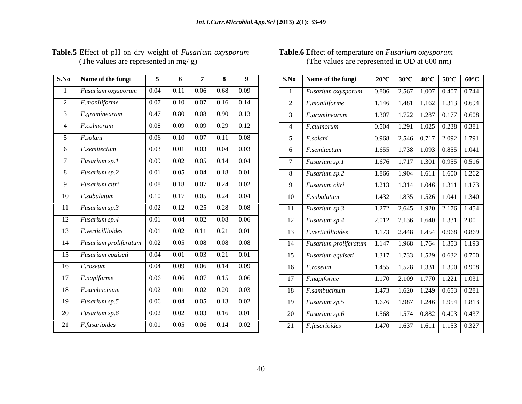| S.No            | Name of the fungi               | 5    | 6    | 7    | 8    | 9                 |
|-----------------|---------------------------------|------|------|------|------|-------------------|
| 1               | Fusarium oxysporum              | 0.04 | 0.11 | 0.06 | 0.68 | 0.09              |
| $\overline{2}$  | F.moniliforme                   | 0.07 | 0.10 | 0.07 | 0.16 | 0.14              |
| 3               | F.graminearum                   | 0.47 | 0.80 | 0.08 | 0.90 | 0.13              |
| $\overline{4}$  | F.culmorum                      | 0.08 | 0.09 | 0.09 | 0.29 | 0.12              |
| 5               | F.solani                        | 0.06 | 0.10 | 0.07 | 0.11 | 0.08              |
| 6               | F.semitectum                    | 0.03 | 0.01 | 0.03 | 0.04 | 0.03              |
| 7               | Fusarium sp.1                   | 0.09 | 0.02 | 0.05 | 0.14 | 0.04              |
| 8               | Fusarium sp.2                   | 0.01 | 0.05 | 0.04 | 0.18 | $\overline{0.01}$ |
| 9               | Fusarium citri                  | 0.08 | 0.18 | 0.07 | 0.24 | 0.02              |
| 10              | F.subulatum                     | 0.10 | 0.17 | 0.05 | 0.24 | 0.04              |
| 11              | Fusarium sp.3                   | 0.02 | 0.12 | 0.25 | 0.28 | 0.08              |
| $\overline{12}$ | Fusarium sp.4                   | 0.01 | 0.04 | 0.02 | 0.08 | 0.06              |
| 13              | F.verticillioides               | 0.01 | 0.02 | 0.11 | 0.21 | 0.01              |
| 14              | Fusarium proliferatum           | 0.02 | 0.05 | 0.08 | 0.08 | 0.08              |
| 15              | $\overline{F}$ usarium equiseti | 0.04 | 0.01 | 0.03 | 0.21 | $\overline{0.01}$ |
| 16              | F.roseum                        | 0.04 | 0.09 | 0.06 | 0.14 | 0.09              |
| 17              | F.napiforme                     | 0.06 | 0.06 | 0.07 | 0.15 | 0.06              |
| 18              | F.sambucinum                    | 0.02 | 0.01 | 0.02 | 0.20 | 0.03              |
| 19              | Fusarium sp.5                   | 0.06 | 0.04 | 0.05 | 0.13 | 0.02              |
| 20              | Fusarium sp.6                   | 0.02 | 0.02 | 0.03 | 0.16 | 0.01              |
| 21              | F.fusarioides                   | 0.01 | 0.05 | 0.06 | 0.14 | 0.02              |
|                 |                                 |      |      |      |      |                   |

### **Table.5** Effect of pH on dry weight of *Fusarium oxysporum* (The values are represented in mg/ g) (The values are represented in OD at 600 nm)

### **Table.6** Effect of temperature on *Fusarium oxysporum* (The values are represented in OD at 600 nm)

| S.No   Name of the fungi    |                                                                                                   | 6 7                                                                        |  | $\begin{array}{c c c c c c} \hline \text{ } & \text{8} & \text{9} \\\hline \end{array}$ |                                     | S.No   Name of the fungi    |  | 20°C   30°C   40°C   50°C   60°C                                                |
|-----------------------------|---------------------------------------------------------------------------------------------------|----------------------------------------------------------------------------|--|-----------------------------------------------------------------------------------------|-------------------------------------|-----------------------------|--|---------------------------------------------------------------------------------|
| <b>Fusarium</b> oxysporum   |                                                                                                   | $0.04$   0.11   0.06   0.68   0.09                                         |  |                                                                                         |                                     | Fusarium oxysporum          |  | $\vert 0.806 \vert 2.567 \vert 1.007 \vert 0.407 \vert 0.744 \vert$             |
| F.moniliforme               |                                                                                                   |                                                                            |  |                                                                                         | 2 <i>F.moniliforme</i>              |                             |  | 1.146   1.481   1.162   1.313   0.694                                           |
| F.graminearum               |                                                                                                   | $\boxed{0.47}$ 0.80 0.08 0.90 0.13                                         |  |                                                                                         |                                     | 3 F.graminearum             |  | $1.307$   1.722   1.287   0.177   0.608                                         |
| F.culmorum                  |                                                                                                   | $0.08$ 0.09 0.09 0.29 0.12                                                 |  |                                                                                         | 4 <i>F.culmorum</i>                 |                             |  | $\vert 0.504 \vert 1.291 \vert 1.025 \vert 0.238 \vert 0.381 \vert$             |
| <i>F.solani</i>             |                                                                                                   | $0.06$   0.10   0.07   0.11   0.08                                         |  |                                                                                         | 5 <i>F.solani</i>                   |                             |  | $\vert 0.968 \vert 2.546 \vert 0.717 \vert 2.092 \vert 1.791 \vert$             |
| 5   <i>F.semitectum</i>     | $\begin{array}{ c c c c c c c c c } \hline 0.03 & 0.01 & 0.03 & 0.04 & 0.03 \ \hline \end{array}$ |                                                                            |  |                                                                                         | $\overline{6}$ <i>F. semitectum</i> |                             |  | $\boxed{1.655 \mid 1.738 \mid 1.093 \mid 0.855}$   1.041                        |
| <i>Fusarium sp.1</i>        |                                                                                                   | $0.09$   $0.02$   $0.05$   $0.14$   $0.04$                                 |  |                                                                                         | 7 Fusarium sp.1                     |                             |  | $1.676$ $1.717$ $1.301$ 0.955 0.516                                             |
| 8   Fusarium sp.2           |                                                                                                   | $0.01$   0.05   0.04   0.18   0.01                                         |  |                                                                                         | 8 Fusarium sp.2                     |                             |  | $1.866$ $1.904$ $1.611$ $1.600$ $1.262$                                         |
| 9 Fusarium citri            |                                                                                                   | $0.08$   0.18   0.07   0.24   0.02                                         |  |                                                                                         | 9 Fusarium citri                    |                             |  | $\boxed{1.213}$ $\boxed{1.314}$ $\boxed{1.046}$ $\boxed{1.311}$ $\boxed{1.173}$ |
| $10$ <i>F.subulatum</i>     |                                                                                                   | $0.10$ 0.17 0.05 0.24 0.04                                                 |  |                                                                                         | 10 F.subulatum                      |                             |  | $\boxed{1.432}$ $\boxed{1.835}$ $\boxed{1.526}$ $\boxed{1.041}$ $\boxed{1.340}$ |
| 11 Fusarium sp.3            |                                                                                                   | $0.02$   0.12   0.25   0.28   0.08                                         |  |                                                                                         | 11 Fusarium sp.3                    |                             |  | 1.272   2.645   1.920   2.176   1.454                                           |
| 12 Fusarium sp.4            |                                                                                                   | $0.01$ 0.04 0.02 0.08 0.06                                                 |  |                                                                                         | 12   Fusarium sp.4                  |                             |  | $\mid$ 2.012 $\mid$ 2.136 $\mid$ 1.640 $\mid$ 1.331 $\mid$ 2.00                 |
| 13 <i>F.verticillioides</i> |                                                                                                   | $0.01$   0.02   0.11   0.21   0.01                                         |  |                                                                                         |                                     | 13 <i>F.verticillioides</i> |  | 1.173   2.448   1.454   0.968   0.869                                           |
| 14 Fusarium proliferatum    |                                                                                                   | $0.02$   0.05   0.08   0.08   0.08                                         |  |                                                                                         |                                     | 14 Fusarium proliferatum    |  | 1.147   1.968   1.764   1.353   1.193                                           |
| 15 Fusarium equiseti        |                                                                                                   | $\boxed{0.04}$ $\boxed{0.01}$ $\boxed{0.03}$ $\boxed{0.21}$ $\boxed{0.01}$ |  |                                                                                         |                                     | 15 Fusarium equiseti        |  | 1.317   1.733   1.529   0.632   0.700                                           |
| $16$ <i>F.roseum</i>        |                                                                                                   | $0.04$ 0.09 0.06 0.14 0.09                                                 |  |                                                                                         | $16$ <i>F.roseum</i>                |                             |  | $\vert$ 1.455 $\vert$ 1.528 $\vert$ 1.331 $\vert$ 1.390 $\vert$ 0.908           |
| 17 <i>F.napiforme</i>       |                                                                                                   |                                                                            |  |                                                                                         | $\boxed{17}$ F.napiforme            |                             |  | 1.170   2.109   1.770   1.221   1.031                                           |
| 18 <i>F.sambucinum</i>      |                                                                                                   | $0.02$   $0.01$   $0.02$   $0.20$   $0.03$                                 |  |                                                                                         | 18 <i>F.sambucinum</i>              |                             |  | 1.473   1.620   1.249   0.653   0.281                                           |
| 19 Fusarium sp.5            | $\begin{array}{ c c c c c c c c c } \hline 0.06 & 0.04 & 0.05 & 0.13 & 0.02 \ \hline \end{array}$ |                                                                            |  |                                                                                         | $19$ Fusarium sp.5                  |                             |  | 1.676   1.987   1.246   1.954   1.813                                           |
| 20 Fusarium sp.6            |                                                                                                   | $0.02$   0.02   0.03   0.16   0.01                                         |  |                                                                                         |                                     |                             |  | $\mid$ 1.568   1.574   0.882   0.403   0.437                                    |
|                             |                                                                                                   |                                                                            |  |                                                                                         | 20 Fusarium sp.6                    |                             |  |                                                                                 |
| $21$ <i>F.fusarioides</i>   |                                                                                                   | $0.01$   0.05   0.06   0.14   0.02                                         |  |                                                                                         | 21 <i>F.fusarioides</i>             |                             |  | 1.470   1.637   1.611   1.153   0.327                                           |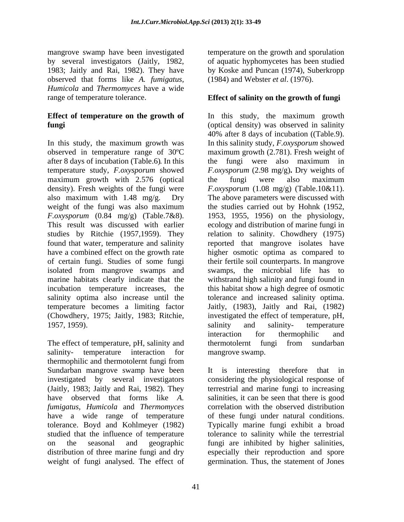mangrove swamp have been investigated temperature on the growth and sporulation by several investigators (Jaitly, 1982, 1983; Jaitly and Rai, 1982). They have observed that forms like *A. fumigatus, Humicola* and *Thermomyces* have a wide range of temperature tolerance. **Effect of salinity on the growth of fungi**

# **Effect of temperature on the growth of**

In this study, the maximum growth was In this salinity study, *F.oxysporum* showed observed in temperature range of 30ºC maximum growth (2.781). Fresh weight of after 8 days of incubation (Table.6). In this temperature study, *F.oxysporum* showed *F.oxysporum* (2.98 mg/g)**.** Dry weights of maximum growth with 2.576 (optical the fungi were also maximum density). Fresh weights of the fungi were  $F_{.0000}$   $F_{.00000}$   $(1.08 \text{ mg/g})$  (Table.10&11). also maximum with 1.48 mg/g. Dry The above parameters were discussed with weight of the fungi was also maximum the studies carried out by Hohnk (1952, *F.oxysporum* (0.84 mg/g) (Table.7&8). 1953, 1955, 1956) on the physiology, This result was discussed with earlier ecology and distribution of marine fungi in studies by Ritchie (1957,1959). They relation to salinity. Chowdhery (1975) found that water, temperature and salinity reported that mangrove isolates have have a combined effect on the growth rate higher osmotic optima as compared to of certain fungi. Studies of some fungi their fertile soil counterparts. In mangrove isolated from mangrove swamps and marine habitats clearly indicate that the withstrand high salinity and fungi found in incubation temperature increases, the this habitat show a high degree of osmotic salinity optima also increase until the tolerance and increased salinity optima. temperature becomes a limiting factor Jaitly, (1983), Jaitly and Rai, (1982) (Chowdhery, 1975; Jaitly, 1983; Ritchie, investigated the effect of temperature, pH, 1957, 1959). Salinity and salinity- temperature

The effect of temperature, pH, salinity and thermotolernt fungi from sundarban salinity- temperature interaction for thermophilic and thermotolernt fungi from Sundarban mangrove swamp have been It is interesting therefore that in investigated by several investigators considering the physiological response of (Jaitly, 1983; Jaitly and Rai, 1982). They terrestrial and marine fungi to increasing have observed that forms like *A. fumigatus, Humicola* and *Thermomyces* have a wide range of temperature of these fungi under natural conditions. tolerance. Boyd and Kohlmeyer (1982) Typically marine fungi exhibit a broad studied that the influence of temperature to ealinity while the terrestrial on the seasonal and geographic fungi are inhibited by higher salinities, distribution of three marine fungi and dry especially their reproduction and spore

of aquatic hyphomycetes has been studied by Koske and Puncan (1974), Suberkropp (1984) and Webster *et al*. (1976).

**fungi** (optical density) was observed in salinity In this study, the maximum growth 40% after <sup>8</sup> days of incubation ((Table.9). In this salinity study, *F.oxysporum* showed the fungi were also maximum in the fungi were also maximum *F.oxysporum* (1.08 mg/g) (Table.10&11).<br>The above parameters were discussed with swamps, the microbial life has to salinity and salinity- temperature interaction for thermophilic and thermotolernt fungi from sundarban mangrove swamp.

weight of fungi analysed. The effect of germination. Thus, the statement of JonesIt is interesting therefore that in salinities, it can be seen that there is good correlation with the observed distribution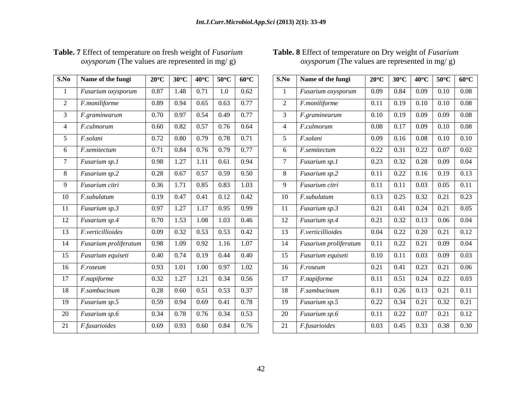| S.No            | Name of the fungi           | $20^{\circ}$ C | $30^{\circ}$ C    | $40^{\circ}$ C | $50^{\circ}$ C    | $60^{\circ}$ C |
|-----------------|-----------------------------|----------------|-------------------|----------------|-------------------|----------------|
| $\mathbf{1}$    | Fusarium oxysporum          | 0.87           | 1.48              | 0.71           | 1.0               | 0.62           |
| $\overline{2}$  | F.moniliforme               | 0.89           | 0.94              | 0.65           | 0.63              | 0.77           |
| $\overline{3}$  | F.graminearum               | 0.70           | 0.97              | 0.54           | 0.49              | 0.77           |
| $\overline{4}$  | F.culmorum                  | 0.60           | 0.82              | 0.57           | 0.76              | 0.64           |
| 5               | F.solani                    | 0.72           | 0.80              | 0.79           | 0.78              | 0.71           |
| 6               | F.semitectum                | 0.71           | 0.84              | 0.76           | 0.79              | 0.77           |
| $\overline{7}$  | $\overline{F}$ usarium sp.1 | 0.98           | 1.27              | 1.11           | 0.61              | 0.94           |
| 8               | Fusarium sp.2               | 0.28           | 0.67              | 0.57           | 0.59              | 0.50           |
| 9               | Fusarium citri              | 0.36           | 1.71              | 0.85           | 0.83              | 1.03           |
| 10              | F.subulatum                 | 0.19           | 0.47              | 0.41           | 0.12              | 0.42           |
| 11              | Fusarium sp.3               | 0.97           | 1.27              | 1.17           | 0.95              | 0.99           |
| 12              | Fusarium sp.4               | 0.70           | 1.53              | 1.08           | 1.03              | 0.46           |
| 13              | F.verticillioides           | 0.09           | 0.32              | 0.53           | 0.53              | 0.42           |
| 14              | Fusarium proliferatum       | 0.98           | 1.09              | 0.92           | 1.16              | 1.07           |
| 15              | Fusarium equiseti           | 0.40           | 0.74              | 0.19           | 0.44              | 0.40           |
| $\overline{16}$ | F.roseum                    | 0.93           | $\overline{1.01}$ | 1.00           | 0.97              | 1.02           |
| 17              | F.napiforme                 | 0.32           | 1.27              | 1.21           | 0.34              | 0.56           |
| 18              | F.sambucinum                | 0.28           | 0.60              | 0.51           | 0.53              | 0.37           |
| 19              | Fusarium sp.5               | 0.59           | 0.94              | 0.69           | $\overline{0.41}$ | 0.78           |
| 20              | Fusarium sp.6               | 0.34           | 0.78              | 0.76           | 0.34              | 0.53           |
| 21              | F.fusarioides               | 0.69           | 0.93              | 0.60           | 0.84              | 0.76           |

# **Table. 7** Effect of temperature on fresh weight of *Fusarium oxysporum* (The values are represented in mg/g)

### *oxysporum* (The values are represented in mg/ g)  *oxysporum* (The values are represented in mg/ g)  **Table. 8** Effect of temperature on Dry weight of *Fusarium*

| S.No   Name of the fungi      | 20°C   30°C   40°C   50°C   60°C                                                          |  |  |      | S.No Name of the fungi      |  |  | 20°C   30°C   40°C   50°C   60°C                                                                      |
|-------------------------------|-------------------------------------------------------------------------------------------|--|--|------|-----------------------------|--|--|-------------------------------------------------------------------------------------------------------|
| <i>Fusarium oxysporum</i>     | $0.87$   1.48   0.71   1.0   0.62                                                         |  |  |      | <i>Fusarium oxysporum</i>   |  |  | $\begin{array}{ c c c c c c c c c } \hline 0.09 & 0.84 & 0.09 & 0.10 & 0.08 \ \hline \end{array}$     |
| <i>F.moniliforme</i>          | $0.89$   0.94   0.65   0.63   0.77                                                        |  |  |      | <i>F.moniliforme</i>        |  |  | $\boxed{0.11}$ 0.19 0.10 0.10 0.08                                                                    |
| $F_{\rm s}$ graminearum       | $0.70$ $0.97$ $0.54$ $0.49$ $0.77$                                                        |  |  |      | <i>F.graminearum</i>        |  |  | $\begin{array}{ c c c c c c c c c } \hline 0.10 & 0.19 & 0.09 & 0.09 & 0.08 \ \hline \end{array}$     |
| <i>F.culmorum</i>             | $0.60$   $0.82$   $0.57$   $0.76$   $0.64$                                                |  |  |      | <i>F.culmorum</i>           |  |  | $0.08$   0.17   0.09   0.10   0.08                                                                    |
| F <sub>solani</sub>           | $0.72$ 0.80 0.79 0.78 0.71                                                                |  |  |      | F.solani                    |  |  |                                                                                                       |
| 6 <i>F.semitectum</i>         | $0.71$ $0.84$ $0.76$ $0.79$ $0.77$                                                        |  |  |      | $F$ .semitectum             |  |  | $0.22$ 0.31 0.22 0.07 0.02                                                                            |
| <i>Fusarium sp.1</i>          | $0.98$   1.27   1.11   0.61   0.94                                                        |  |  |      | Fusarium sp.1               |  |  | $0.23$ 0.32 0.28 0.09 0.04                                                                            |
| 8 Fusarium sp.2               | $0.28$   0.67   0.57   0.59   0.50                                                        |  |  |      | 8 Fusarium sp.2             |  |  | $0.11$ 0.22 0.16 0.19 0.13                                                                            |
| 9 Fusarium citri              |                                                                                           |  |  |      | Fusarium citri              |  |  | $0.11$ 0.11 0.03 0.05 0.11                                                                            |
| 10 <i>F.subulatum</i>         | $0.19$ 0.47 0.41 0.12 0.42                                                                |  |  |      | 10 <i>F.subulatum</i>       |  |  | $\begin{array}{ c c c c c c c c c c c } \hline 0.13 & 0.25 & 0.32 & 0.21 & 0.23 \ \hline \end{array}$ |
| 11   Fusarium sp.3            | $0.97$   1.27   1.17   0.95   0.99                                                        |  |  |      | 11 Fusarium sp.3            |  |  | $0.21$   0.41   0.24   0.21   0.05                                                                    |
| 12 Fusarium sp.4              | $0.70$   1.53   1.08   1.03   0.46                                                        |  |  |      | 12 Fusarium sp.4            |  |  | $0.21$   0.32   0.13   0.06   0.04                                                                    |
| 13   <i>F.verticillioides</i> | $0.09$ 0.32 0.53 0.53 0.42                                                                |  |  |      | 13 <i>F.verticillioides</i> |  |  | $0.04$ 0.22 0.20 0.21 0.12                                                                            |
| 14 Fusarium proliferatum      |                                                                                           |  |  |      | 14 Fusarium proliferatum    |  |  | $\begin{array}{ c c c c c c c c c } \hline 0.11 & 0.22 & 0.21 & 0.09 & 0.04 \ \hline \end{array}$     |
| 15 Fusarium equiseti          | $0.40 \begin{array}{ c c c c c c } \hline 0.74 & 0.19 & 0.44 & 0.40 \ \hline \end{array}$ |  |  | - 15 | Fusarium equiseti           |  |  |                                                                                                       |
| $16$ <i>F.roseum</i>          | $0.93$ 1.01 1.00 0.97 1.02                                                                |  |  |      | $16$ <i>F.roseum</i>        |  |  | $\begin{array}{ c c c c c c c c c } \hline 0.21 & 0.41 & 0.23 & 0.21 & 0.06 \ \hline \end{array}$     |
| 17 <i>F.napiforme</i>         | $0.32$   1.27   1.21   0.34   0.56                                                        |  |  |      | 17 <i>F.napiforme</i>       |  |  | $0.11$   $0.51$   $0.24$   $0.22$   $0.03$                                                            |
| 18 <i>F.sambucinum</i>        | $0.28$ 0.60 0.51 0.53 0.37                                                                |  |  |      | 18 F.sambucinum             |  |  | $0.11$   0.26   0.13   0.21   0.11                                                                    |
| 19   Fusarium sp.5            | $0.59$   0.94   0.69   0.41   0.78                                                        |  |  |      | 19   Fusarium sp.5          |  |  | $0.22$ 0.34 0.21 0.32 0.21                                                                            |
| 20 Fusarium sp.6              | $0.34$   0.78   0.76   0.34   0.53                                                        |  |  |      | 20   <i>Fusarium sp.6</i>   |  |  | $0.11$   0.22   0.07   0.21   0.12                                                                    |
| 21 <i>F.fusarioides</i>       | $0.69$   0.93   0.60   0.84   0.76                                                        |  |  |      | $21$   <i>F.fusarioides</i> |  |  | $0.03$   0.45   0.33   0.38   0.30                                                                    |
|                               |                                                                                           |  |  |      |                             |  |  |                                                                                                       |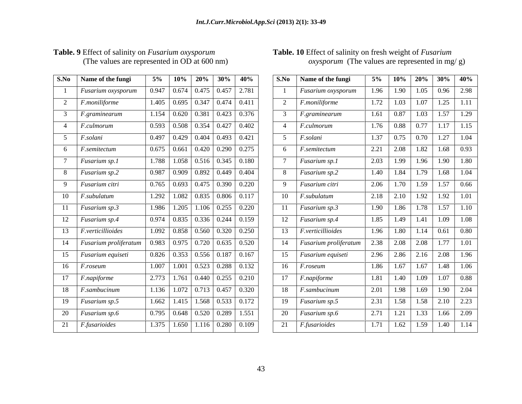| S.No            | Name of the fungi               | 5%    | 10%   | 20%   | 30%   | 40%   |
|-----------------|---------------------------------|-------|-------|-------|-------|-------|
| $\mathbf{1}$    | Fusarium oxysporum              | 0.947 | 0.674 | 0.475 | 0.457 | 2.781 |
| $\overline{2}$  | F.moniliforme                   | 1.405 | 0.695 | 0.347 | 0.474 | 0.411 |
| 3               | F.graminearum                   | 1.154 | 0.620 | 0.381 | 0.423 | 0.376 |
| $\overline{4}$  | F.culmorum                      | 0.593 | 0.508 | 0.354 | 0.427 | 0.402 |
| $\overline{5}$  | F.solani                        | 0.497 | 0.429 | 0.404 | 0.493 | 0.421 |
| 6               | F.semitectum                    | 0.675 | 0.661 | 0.420 | 0.290 | 0.275 |
| $\overline{7}$  | Fusarium sp.1                   | 1.788 | 1.058 | 0.516 | 0.345 | 0.180 |
| 8               | Fusarium sp.2                   | 0.987 | 0.909 | 0.892 | 0.449 | 0.404 |
| 9               | Fusarium citri                  | 0.765 | 0.693 | 0.475 | 0.390 | 0.220 |
| 10              | F.subulatum                     | 1.292 | 1.082 | 0.835 | 0.806 | 0.117 |
| 11              | Fusarium sp.3                   | 1.986 | 1.205 | 1.106 | 0.255 | 0.220 |
| 12              | Fusarium sp.4                   | 0.974 | 0.835 | 0.336 | 0.244 | 0.159 |
| 13              | $\overline{F}$ .verticillioides | 1.092 | 0.858 | 0.560 | 0.320 | 0.250 |
| 14              | Fusarium proliferatum           | 0.983 | 0.975 | 0.720 | 0.635 | 0.520 |
| $\overline{15}$ | Fusarium equiseti               | 0.826 | 0.353 | 0.556 | 0.187 | 0.167 |
| 16              | F.roseum                        | 1.007 | 1.001 | 0.523 | 0.288 | 0.132 |
| 17              | F.napiforme                     | 2.773 | 1.761 | 0.440 | 0.255 | 0.210 |
| 18              | F.sambucinum                    | 1.136 | 1.072 | 0.713 | 0.457 | 0.320 |
| 19              | Fusarium sp.5                   | 1.662 | 1.415 | 1.568 | 0.533 | 0.172 |
| 20              | Fusarium sp.6                   | 0.795 | 0.648 | 0.520 | 0.289 | 1.551 |
| 21              | F.fusarioides                   | 1.375 | 1.650 | 1.116 | 0.280 | 0.109 |

# Table. 9 Effect of salinity on *Fusarium oxysporum*<br>(The values are represented in OD at 600 nm)

### **Table. 9** Effect of salinity on *Fusarium oxysporum*  **Table. 10** Effect of salinity on fresh weight of *Fusarium oxysporum* (The values are represented in mg/ g)

| 0.947   0.674   0.475   0.457   2.781 <sub> </sub><br><i>Fusarium oxysporum</i><br>$\begin{array}{ c c c c c c c c c c c } \hline 1.405 & 0.695 & 0.347 & 0.474 & 0.411 \\\hline \end{array}$<br><i>F.moniliforme</i><br>$F_{\cdot}$ graminearum<br>$1.154$   0.620   0.381   0.423   0.376  <br>$0.593$ 0.508 0.354 0.427 0.402<br>4 <i>F.culmorum</i><br><i>F.solani</i><br>$0.497$   $0.429$   $0.404$   $0.493$   $0.421$<br>$0.675$   0.661   0.420   0.290   0.275<br>$F$ .semitectum<br>$1.788$   1.058   0.516   0.345   0.180<br><i>Fusarium sp.1</i><br>$0.987$   0.909   0.892   0.449   0.404<br><i>Fusarium sp.2</i><br>$\begin{array}{ c c c c c c c c c c c } \hline 0.765 & 0.693 & 0.475 & 0.390 & 0.220 \hline \end{array}$<br><i>Fusarium citri</i><br>$1.292$   $1.082$   0.835   0.806   0.117<br><i>F.subulatum</i><br>$1.986$   1.205   1.106   0.255   0.220<br><i>Fusarium sp.3</i><br>$\begin{array}{ c c c c c c c c c } \hline 0.974 & 0.835 & 0.336 & 0.244 & 0.159 \\\hline \end{array}$<br><i>Fusarium sp.4</i><br>$1.092$ 0.858 0.560 0.320 0.250<br>F. verticallioides<br><u> La Carlo de Carlo de la Carlo de Carlo de Carlo de Carlo de Carlo de Carlo de Carlo de Carlo de Carlo de Carlo</u><br>$0.983$   0.975   0.720   0.635   0.520<br>14 Fusarium proliferatum<br>$0.826$ 0.353 0.556 0.187 0.167<br><i>Fusarium equiseti</i><br>$1.007$ 1.001 0.523 0.288 0.132<br><i>F.roseum</i><br>$2.773$   1.761   0.440   0.255   0.210<br><i>F.napiforme</i><br>$1.136$   1.072   0.713   0.457   0.320  <br>$18$ <i>F.sambucinum</i><br>$1.662$   1.415   1.568   0.533   0.172<br><i>Fusarium sp.5</i><br>$\boxed{0.795}$   0.648   0.520   0.289   1.551 '<br>20   <i>Fusarium sp.6</i><br>$1.375$   1.650   1.116   0.280   0.109  <br><i>F.fusarioides</i> | S.No Name of the fungi | $\vert$ 5% $\vert$ 10% $\vert$ 20% $\vert$ 30% $\vert$ 40% | S.No   Name of the fungi                    | $5\%$   10%   20%   30%   40%      |                                                                                           |  |
|---------------------------------------------------------------------------------------------------------------------------------------------------------------------------------------------------------------------------------------------------------------------------------------------------------------------------------------------------------------------------------------------------------------------------------------------------------------------------------------------------------------------------------------------------------------------------------------------------------------------------------------------------------------------------------------------------------------------------------------------------------------------------------------------------------------------------------------------------------------------------------------------------------------------------------------------------------------------------------------------------------------------------------------------------------------------------------------------------------------------------------------------------------------------------------------------------------------------------------------------------------------------------------------------------------------------------------------------------------------------------------------------------------------------------------------------------------------------------------------------------------------------------------------------------------------------------------------------------------------------------------------------------------------------------------------------------------------------------------------------------------------------------------------------------|------------------------|------------------------------------------------------------|---------------------------------------------|------------------------------------|-------------------------------------------------------------------------------------------|--|
|                                                                                                                                                                                                                                                                                                                                                                                                                                                                                                                                                                                                                                                                                                                                                                                                                                                                                                                                                                                                                                                                                                                                                                                                                                                                                                                                                                                                                                                                                                                                                                                                                                                                                                                                                                                                   |                        |                                                            | Fusarium oxysporum 1.96 1.90 1.05 0.96 2.98 |                                    |                                                                                           |  |
|                                                                                                                                                                                                                                                                                                                                                                                                                                                                                                                                                                                                                                                                                                                                                                                                                                                                                                                                                                                                                                                                                                                                                                                                                                                                                                                                                                                                                                                                                                                                                                                                                                                                                                                                                                                                   |                        |                                                            | <i>F.moniliforme</i>                        | $1.72$ $1.03$ $1.07$ $1.25$ $1.11$ |                                                                                           |  |
|                                                                                                                                                                                                                                                                                                                                                                                                                                                                                                                                                                                                                                                                                                                                                                                                                                                                                                                                                                                                                                                                                                                                                                                                                                                                                                                                                                                                                                                                                                                                                                                                                                                                                                                                                                                                   |                        |                                                            | F.graminearum                               |                                    | $1.61$ 0.87 1.03 1.57 1.29                                                                |  |
|                                                                                                                                                                                                                                                                                                                                                                                                                                                                                                                                                                                                                                                                                                                                                                                                                                                                                                                                                                                                                                                                                                                                                                                                                                                                                                                                                                                                                                                                                                                                                                                                                                                                                                                                                                                                   |                        |                                                            | F.culmorum                                  |                                    | $1.76$ 0.88 0.77 1.17 1.15                                                                |  |
|                                                                                                                                                                                                                                                                                                                                                                                                                                                                                                                                                                                                                                                                                                                                                                                                                                                                                                                                                                                                                                                                                                                                                                                                                                                                                                                                                                                                                                                                                                                                                                                                                                                                                                                                                                                                   |                        |                                                            | F.solani                                    | $1.37$ 0.75 0.70 1.27 1.04         |                                                                                           |  |
|                                                                                                                                                                                                                                                                                                                                                                                                                                                                                                                                                                                                                                                                                                                                                                                                                                                                                                                                                                                                                                                                                                                                                                                                                                                                                                                                                                                                                                                                                                                                                                                                                                                                                                                                                                                                   |                        |                                                            | <i>F.semitectum</i>                         |                                    | $2.21$ $2.08$ $1.82$ $1.68$ $0.93$                                                        |  |
|                                                                                                                                                                                                                                                                                                                                                                                                                                                                                                                                                                                                                                                                                                                                                                                                                                                                                                                                                                                                                                                                                                                                                                                                                                                                                                                                                                                                                                                                                                                                                                                                                                                                                                                                                                                                   |                        |                                                            | Fusarium sp.1                               |                                    | $2.03$   1.99   1.96   1.90   1.80                                                        |  |
|                                                                                                                                                                                                                                                                                                                                                                                                                                                                                                                                                                                                                                                                                                                                                                                                                                                                                                                                                                                                                                                                                                                                                                                                                                                                                                                                                                                                                                                                                                                                                                                                                                                                                                                                                                                                   |                        |                                                            | Fusarium sp.2                               |                                    | $1.40$   $1.84$   $1.79$   $1.68$   $1.04$                                                |  |
|                                                                                                                                                                                                                                                                                                                                                                                                                                                                                                                                                                                                                                                                                                                                                                                                                                                                                                                                                                                                                                                                                                                                                                                                                                                                                                                                                                                                                                                                                                                                                                                                                                                                                                                                                                                                   |                        |                                                            | Fusarium citri                              |                                    | $2.06$ 1.70 1.59 1.57 0.66                                                                |  |
|                                                                                                                                                                                                                                                                                                                                                                                                                                                                                                                                                                                                                                                                                                                                                                                                                                                                                                                                                                                                                                                                                                                                                                                                                                                                                                                                                                                                                                                                                                                                                                                                                                                                                                                                                                                                   |                        |                                                            | F.subulatum                                 |                                    | 2.18 2.10 1.92 1.92 1.01                                                                  |  |
|                                                                                                                                                                                                                                                                                                                                                                                                                                                                                                                                                                                                                                                                                                                                                                                                                                                                                                                                                                                                                                                                                                                                                                                                                                                                                                                                                                                                                                                                                                                                                                                                                                                                                                                                                                                                   |                        |                                                            | <i>Fusarium sp.3</i>                        |                                    | 1.90 1.86 1.78 1.57 1.10                                                                  |  |
|                                                                                                                                                                                                                                                                                                                                                                                                                                                                                                                                                                                                                                                                                                                                                                                                                                                                                                                                                                                                                                                                                                                                                                                                                                                                                                                                                                                                                                                                                                                                                                                                                                                                                                                                                                                                   |                        |                                                            | Fusarium sp.4                               |                                    | $\overline{1.85}$ $\overline{1.49}$ $\overline{1.41}$ $\overline{1.09}$ $\overline{1.08}$ |  |
|                                                                                                                                                                                                                                                                                                                                                                                                                                                                                                                                                                                                                                                                                                                                                                                                                                                                                                                                                                                                                                                                                                                                                                                                                                                                                                                                                                                                                                                                                                                                                                                                                                                                                                                                                                                                   |                        |                                                            | F. verticallioides                          |                                    | $1.96$ 1.80 1.14 0.61 0.80                                                                |  |
|                                                                                                                                                                                                                                                                                                                                                                                                                                                                                                                                                                                                                                                                                                                                                                                                                                                                                                                                                                                                                                                                                                                                                                                                                                                                                                                                                                                                                                                                                                                                                                                                                                                                                                                                                                                                   |                        |                                                            | Fusarium proliferatum                       |                                    | 2.38   2.08   2.08   1.77   1.01                                                          |  |
|                                                                                                                                                                                                                                                                                                                                                                                                                                                                                                                                                                                                                                                                                                                                                                                                                                                                                                                                                                                                                                                                                                                                                                                                                                                                                                                                                                                                                                                                                                                                                                                                                                                                                                                                                                                                   |                        |                                                            | Fusarium equiseti                           |                                    | $2.96$ $2.86$ $2.16$ $2.08$ $1.96$                                                        |  |
|                                                                                                                                                                                                                                                                                                                                                                                                                                                                                                                                                                                                                                                                                                                                                                                                                                                                                                                                                                                                                                                                                                                                                                                                                                                                                                                                                                                                                                                                                                                                                                                                                                                                                                                                                                                                   |                        |                                                            | <i>F.roseum</i>                             |                                    | $1.86$ $1.67$ $1.67$ $1.48$ $1.06$                                                        |  |
|                                                                                                                                                                                                                                                                                                                                                                                                                                                                                                                                                                                                                                                                                                                                                                                                                                                                                                                                                                                                                                                                                                                                                                                                                                                                                                                                                                                                                                                                                                                                                                                                                                                                                                                                                                                                   |                        |                                                            | $F$ .napiforme                              | 1.81                               | $1.40$ $1.09$ $1.07$ 0.88                                                                 |  |
|                                                                                                                                                                                                                                                                                                                                                                                                                                                                                                                                                                                                                                                                                                                                                                                                                                                                                                                                                                                                                                                                                                                                                                                                                                                                                                                                                                                                                                                                                                                                                                                                                                                                                                                                                                                                   |                        |                                                            | F.sambucinum                                |                                    | $2.01$   1.98   1.69   1.90   2.04                                                        |  |
|                                                                                                                                                                                                                                                                                                                                                                                                                                                                                                                                                                                                                                                                                                                                                                                                                                                                                                                                                                                                                                                                                                                                                                                                                                                                                                                                                                                                                                                                                                                                                                                                                                                                                                                                                                                                   |                        |                                                            | Fusarium sp.5                               |                                    | 2.31   1.58   1.58   2.10   2.23                                                          |  |
|                                                                                                                                                                                                                                                                                                                                                                                                                                                                                                                                                                                                                                                                                                                                                                                                                                                                                                                                                                                                                                                                                                                                                                                                                                                                                                                                                                                                                                                                                                                                                                                                                                                                                                                                                                                                   |                        |                                                            | <b>Fusarium</b> sp.6                        |                                    | 2.71   1.21   1.33   1.66   2.09                                                          |  |
|                                                                                                                                                                                                                                                                                                                                                                                                                                                                                                                                                                                                                                                                                                                                                                                                                                                                                                                                                                                                                                                                                                                                                                                                                                                                                                                                                                                                                                                                                                                                                                                                                                                                                                                                                                                                   |                        |                                                            | <i>F.fusarioides</i>                        | 1.71   1.62   1.59   1.40   1.14   |                                                                                           |  |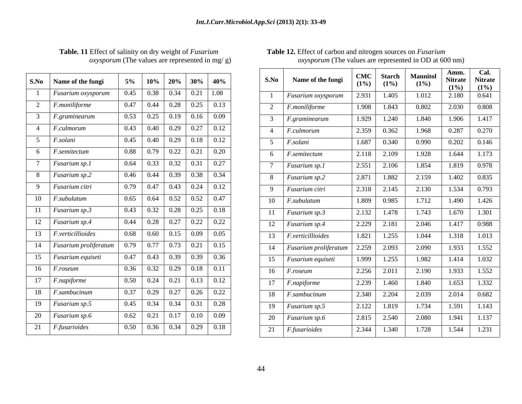| S.No            | Name of the fungi     | 5%   | 10%  | 20%  | 30%  | 40%  |
|-----------------|-----------------------|------|------|------|------|------|
| 1               | Fusarium oxysporum    | 0.45 | 0.38 | 0.34 | 0.21 | 1.08 |
| $\overline{2}$  | F.moniliforme         | 0.47 | 0.44 | 0.28 | 0.25 | 0.13 |
| $\overline{3}$  | F.graminearum         | 0.53 | 0.25 | 0.19 | 0.16 | 0.09 |
| $\overline{4}$  | F.culmorum            | 0.43 | 0.40 | 0.29 | 0.27 | 0.12 |
| $\overline{5}$  | F.solani              | 0.45 | 0.40 | 0.29 | 0.18 | 0.12 |
| 6               | F.semitectum          | 0.88 | 0.79 | 0.22 | 0.21 | 0.20 |
| $\overline{7}$  | Fusarium sp.1         | 0.64 | 0.33 | 0.32 | 0.31 | 0.27 |
| 8               | Fusarium sp.2         | 0.46 | 0.44 | 0.39 | 0.38 | 0.34 |
| 9               | Fusarium citri        | 0.79 | 0.47 | 0.43 | 0.24 | 0.12 |
| 10              | F.subulatum           | 0.65 | 0.64 | 0.52 | 0.52 | 0.47 |
| 11              | Fusarium sp.3         | 0.43 | 0.32 | 0.28 | 0.25 | 0.18 |
| 12              | Fusarium sp.4         | 0.44 | 0.28 | 0.27 | 0.22 | 0.22 |
| 13              | F.verticillioides     | 0.68 | 0.60 | 0.15 | 0.09 | 0.05 |
| 14              | Fusarium proliferatum | 0.79 | 0.77 | 0.73 | 0.21 | 0.15 |
| $\overline{15}$ | Fusarium equiseti     | 0.47 | 0.43 | 0.39 | 0.39 | 0.36 |
| 16              | F.roseum              | 0.36 | 0.32 | 0.29 | 0.18 | 0.11 |
| 17              | F.napiforme           | 0.50 | 0.24 | 0.21 | 0.13 | 0.12 |
| 18              | F.sambucinum          | 0.37 | 0.29 | 0.27 | 0.26 | 0.22 |
| 19              | Fusarium sp.5         | 0.45 | 0.34 | 0.34 | 0.31 | 0.28 |
| 20              | Fusarium sp.6         | 0.62 | 0.21 | 0.17 | 0.10 | 0.09 |
| 21              | F.fusarioides         | 0.50 | 0.36 | 0.34 | 0.29 | 0.18 |

### **Table. 11** Effect of salinity on dry weight of *Fusarium oxysporum* (The values are represented in mg/g) *oxysporum* (The values are represented in OD at 600 nm)

|                                                                         |  |                                                                                                       |      |                                                                    |                 |                      |                                    | Amm.              | Cal. |
|-------------------------------------------------------------------------|--|-------------------------------------------------------------------------------------------------------|------|--------------------------------------------------------------------|-----------------|----------------------|------------------------------------|-------------------|------|
| S.No   Name of the fungi                                                |  | $5\%$   10%   20%   30%   40%                                                                         | S.No | Name of the fungi                                                  | $(1\%)$ $(1\%)$ |                      | CMC   Starch   Mannitol<br>$(1\%)$ | Nitrate   Nitrate |      |
| <i>Fusarium oxysporum</i>                                               |  | $\begin{array}{ c c c c c c c c c c c } \hline 0.45 & 0.38 & 0.34 & 0.21 & 1.08 \ \hline \end{array}$ |      | $\mid$ Fusarium oxysporum $\mid$ 2.931 $\mid$ 1.405                |                 |                      | $1.012$ 2.180 0.641                | $(1\%)$ $(1\%)$   |      |
| $F$ . <i>moniliforme</i>                                                |  | $0.47$   0.44   0.28   0.25   0.13                                                                    |      | 2 <i>F.moniliforme</i>                                             |                 |                      |                                    |                   |      |
| $F_{\cdot}$ graminearum                                                 |  | $0.53$   $0.25$   $0.19$   $0.16$   $0.09$                                                            |      | $F_{\cdot}$ graminearum                                            |                 |                      |                                    |                   |      |
| 4 <i>F.culmorum</i>                                                     |  | $0.43$   0.40   0.29   0.27   0.12                                                                    |      | 4   <i>F.culmorum</i>                                              |                 |                      |                                    |                   |      |
| <i>F.solani</i>                                                         |  | $0.45$   0.40   0.29   0.18   0.12                                                                    |      | <i>F.solani</i>                                                    |                 |                      | $1.687$ 0.340 0.990 0.202 0.146    |                   |      |
| 6 <i>F.semitectum</i>                                                   |  | $0.88$   0.79   0.22   0.21   0.20                                                                    |      | 6   <i>F.semitectum</i>                                            |                 |                      |                                    |                   |      |
| <i>Fusarium sp.1</i>                                                    |  | $0.64$ 0.33 0.32 0.31 0.27                                                                            |      |                                                                    |                 |                      |                                    |                   |      |
| 8 Fusarium sp.2                                                         |  | $0.46$ 0.44 0.39 0.38 0.34                                                                            |      | <i>Fusarium sp.1</i>                                               |                 | $2.551$ $2.106$      | 1.854   1.819   0.978              |                   |      |
| 9 Fusarium citri                                                        |  |                                                                                                       |      | <i>Fusarium sp.2</i>                                               |                 | $2.871 \quad 1.882$  | $2.159$ $1.402$ $0.835$            |                   |      |
|                                                                         |  |                                                                                                       |      | <i>Fusarium citri</i>                                              |                 |                      | 2.318 2.145 2.130 1.534 0.793      |                   |      |
| $10$   <i>F.subulatum</i>                                               |  | $0.65$   0.64   0.52   0.52   0.47                                                                    |      | $10$ <i>F.subulatum</i>                                            |                 | $1.809 \qquad 0.985$ | 1.712 1.490 1.426                  |                   |      |
| 11 Fusarium sp.3                                                        |  | $0.43$   $0.32$   $0.28$   $0.25$   $0.18$                                                            |      | 11   Fusarium sp.3                                                 |                 |                      | 2.132 1.478 1.743 1.670 1.301      |                   |      |
| 12   Fusarium sp.4                                                      |  | $0.44$   0.28   0.27   0.22   0.22                                                                    |      | 12 Fusarium sp.4                                                   |                 |                      | 2.229 2.181 2.046 1.417 0.988      |                   |      |
| 13 <i>F.verticillioides</i>                                             |  | $0.68$   $0.60$   $0.15$   $0.09$   $0.05$                                                            |      | 13 <i>F.verticillioides</i>                                        | 1.821 1.255     |                      | $1.044$   1.318   1.013            |                   |      |
| 14   Fusarium proliferatum   $0.79$   $0.77$   $0.73$   $0.21$   $0.15$ |  |                                                                                                       |      | 14   Fusarium proliferatum   2.259   2.093   2.090   1.933   1.552 |                 |                      |                                    |                   |      |
| 15 Fusarium equiseti                                                    |  | $0.47$ 0.43 0.39 0.39 0.36                                                                            |      | 15 Fusarium equiseti                                               | 1.999 1.255     |                      | 1.982   1.414   1.032              |                   |      |
| $16$ <i>F.roseum</i>                                                    |  | $0.36$ $0.32$ $0.29$ $0.18$ $0.11$                                                                    |      | $16$ <i>F.roseum</i>                                               | 2.256 2.011     |                      | 2.190 1.933 1.552                  |                   |      |
| 17 <i>F.napiforme</i>                                                   |  | $0.50$   0.24   0.21   0.13   0.12                                                                    | 17   | F.napiforme                                                        |                 |                      |                                    |                   |      |
| 18 <i>F.sambucinum</i>                                                  |  | $\begin{array}{ c c c c c c c c c } \hline 0.37 & 0.29 & 0.27 & 0.26 & 0.22 \ \hline \end{array}$     |      | 18 <i>F.sambucinum</i>                                             |                 | 2.340 2.204          | 2.039 2.014 0.682                  |                   |      |
| 19   Fusarium sp.5                                                      |  | $0.45$   0.34   0.34   0.31   0.28                                                                    |      | 19   Fusarium sp.5                                                 |                 | 2.122 1.819          | $1.734$ 1.591 1.143                |                   |      |
| 20   Fusarium sp.6                                                      |  | $0.62$   0.21   0.17   0.10   0.09                                                                    |      | 20 Fusarium sp.6                                                   |                 | 2.815 2.540          | 2.080   1.941   $\overline{1.137}$ |                   |      |
| 21 <i>F.fusarioides</i>                                                 |  | $0.50$   $0.36$   $0.34$   $0.29$   $0.18$                                                            |      |                                                                    |                 |                      |                                    |                   |      |
|                                                                         |  |                                                                                                       |      | $21$ <i>F.fusarioides</i>                                          |                 |                      | 2.344 1.340 1.728 1.544 1.231      |                   |      |

**Table 12.** Effect of carbon and nitrogen sources on *Fusarium* 

 *oxysporum* (The values are represented in OD at 600 nm)

###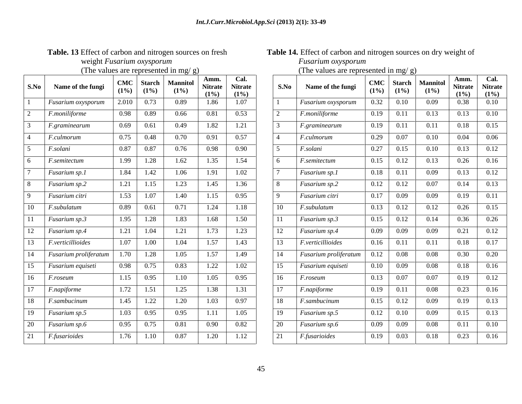| S.No            | Name of the fungi           | <b>CMC</b><br>$(1\%)$ | <b>Starch</b><br>$(1\%)$ | <b>Mannitol</b><br>(1%) | Amm.<br><b>Nitrate</b><br>(1%) | Cal.<br><b>Nitrate</b><br>(1%) |
|-----------------|-----------------------------|-----------------------|--------------------------|-------------------------|--------------------------------|--------------------------------|
| $\mathbf{1}$    | Fusarium oxysporum          | 2.010                 | 0.73                     | 0.89                    | 1.86                           | 1.07                           |
| $\overline{2}$  | $\overline{F}$ .moniliforme | 0.98                  | 0.89                     | 0.66                    | 0.81                           | 0.53                           |
| 3               | F.graminearum               | 0.69                  | 0.61                     | 0.49                    | 1.82                           | 1.21                           |
| $\overline{4}$  | F.culmorum                  | 0.75                  | 0.48                     | 0.70                    | 0.91                           | 0.57                           |
| 5               | F.solani                    | 0.87                  | 0.87                     | 0.76                    | 0.98                           | 0.90                           |
| 6               | F.semitectum                | 1.99                  | 1.28                     | 1.62                    | 1.35                           | 1.54                           |
| $\overline{7}$  | Fusarium sp.1               | 1.84                  | 1.42                     | 1.06                    | 1.91                           | 1.02                           |
| 8               | Fusarium sp.2               | 1.21                  | 1.15                     | 1.23                    | 1.45                           | 1.36                           |
| 9               | Fusarium citri              | 1.53                  | $\overline{1.07}$        | 1.40                    | 1.15                           | 0.95                           |
| 10              | F.subulatum                 | 0.89                  | 0.61                     | 0.71                    | 1.24                           | 1.18                           |
| 11              | Fusarium sp.3               | 1.95                  | 1.28                     | 1.83                    | 1.68                           | 1.50                           |
| 12              | Fusarium sp.4               | 1.21                  | 1.04                     | 1.21                    | 1.73                           | 1.23                           |
| 13              | F.verticillioides           | 1.07                  | 1.00                     | 1.04                    | 1.57                           | 1.43                           |
| 14              | Fusarium proliferatum       | 1.70                  | 1.28                     | $\overline{1.05}$       | 1.57                           | 1.49                           |
| $\overline{15}$ | Fusarium equiseti           | 0.98                  | 0.75                     | 0.83                    | 1.22                           | 1.02                           |
| 16              | F.roseum                    | 1.15                  | 0.95                     | $\overline{1.10}$       | 1.05                           | 0.95                           |
| 17              | F.napiforme                 | 1.72                  | 1.51                     | 1.25                    | 1.38                           | 1.31                           |
| 18              | F.sambucinum                | 1.45                  | 1.22                     | 1.20                    | 1.03                           | 0.97                           |
| 19              | Fusarium sp.5               | 1.03                  | 0.95                     | 0.95                    | 1.11                           | 1.05                           |
| 20              | Fusarium sp.6               | 0.95                  | 0.75                     | 0.81                    | 0.90                           | 0.82                           |
| 21              | F.fusarioides               | 1.76                  | 1.10                     | 0.87                    | 1.20                           | 1.12                           |

### Table. 13 Effect of carbon and nitrogen sources on fresh Table 14. Effect of carbon and nitrogen sources on dry weight of weight *Fusarium oxysporum Fusarium oxysporum*

(The values are represented in mg/ g) (The values are represented in mg/ g)

| $S.No$ | Name of the fungi         | <b>CMC</b><br>(1%)  | Starch<br>(1%)         | <b>Mannito</b><br>$(1\%)$ | Amm.<br><b>Nitrate</b><br>$(1\%)$ | Cal.<br><b>Nitrate</b><br>(1%) | S.No            | Name of the fungi     | $(1\%)$ | CMC   Starch   Mannitol<br>(1%) | $(1\%)$  | Amm.<br><b>Nitrate</b><br>$(1\%)$ | Cal.<br><b>Nitrate</b><br>$(1\%)$ |
|--------|---------------------------|---------------------|------------------------|---------------------------|-----------------------------------|--------------------------------|-----------------|-----------------------|---------|---------------------------------|----------|-----------------------------------|-----------------------------------|
|        | <b>Fusarium</b> oxysporum | 2.010               | 0.73                   | 0.89                      | 1.86                              | 1.07                           |                 | Fusarium oxysporum    | 0.32    | $\boxed{0.10}$                  | 0.09     | 0.38                              | $0.10\,$                          |
|        | F.moniliforme             |                     | 0.98 0.89              | 0.66                      | 0.81                              | 0.53                           |                 | $F$ .moniliforme      |         | $0.19$ 0.11                     | 0.13     | 0.13                              | 0.10                              |
|        | $F_{\rm}$ graminearum     | 0.69                | 0.61                   | 0.49                      | 1.82                              | 1.21                           |                 | <i>F.graminearum</i>  | 0.19    | 0.11                            | 0.11     | 0.18                              | 0.15                              |
|        | F. culmorum               |                     | 0.75 0.48              | 0.70                      | 0.91                              | 0.57                           |                 | F.culmorum            |         | $0.29$ 0.07                     | $0.10\,$ | 0.04                              | 0.06                              |
|        | F.solani                  | $\boxed{0.87}$ 0.87 |                        | 0.76                      | 0.98                              | 0.90                           | $\sqrt{5}$      | F.solani              |         | $\overline{0.27}$ 0.15          | 0.10     | 0.13                              | 0.12                              |
|        | $F$ .semitectum           | 1.99                | 1.28                   | 1.62                      | 1.35                              | 1.54                           |                 | F.semitectum          | 0.15    | 0.12                            | 0.13     | 0.26                              | 0.16                              |
|        | <i>Fusarium sp.1</i>      | 1.84                | 1.42                   | 1.06                      | 1.91                              | 1.02                           |                 | Fusarium sp.1         |         | $0.18$ 0.11                     | 0.09     | 0.13                              | 0.12                              |
|        | Fusarium sp.2             | 1.21                | 1.15                   | 1.23                      | 1.45                              | 1.36                           |                 | Fusarium sp.2         | 0.12    | $\boxed{0.12}$                  | 0.07     | 0.14                              | 0.13                              |
|        | Fusarium citri            | 1.53                | 1.07                   | 1.40                      | 1.15                              | 0.95                           | $\overline{Q}$  | Fusarium citri        |         | $0.17$ 0.09                     | 0.09     | 0.19                              | 0.11                              |
|        | F.subulatum               | 0.89                | 0.61                   | 0.71                      | 1.24                              | 1.18                           | 10 <sup>1</sup> | F.subulatum           | 0.13    | 0.12                            | 0.12     | 0.26                              | 0.15                              |
|        | <b>Fusarium sp.3</b>      | 1.95                | 1.28                   | 1.83                      | 1.68                              | 1.50                           | $\vert$ 11      | Fusarium sp.3         |         | $0.15$ 0.12                     | 0.14     | 0.36                              | 0.26                              |
|        | <b>Fusarium sp.4</b>      | 1.21                | 1.04                   | 1.21                      | 1.73                              | 1.23                           | $\vert$ 12      | Fusarium sp.4         |         | $0.09$ 0.09                     | 0.09     | 0.21                              | 0.12                              |
|        | F.verticillioides         |                     | $\overline{1.07}$ 1.00 | 1.04                      | 1.57                              | 1.43                           | $\vert$ 13      | F.verticillioides     |         | $0.16$ 0.11                     | 0.11     | 0.18                              | 0.17                              |
|        | Fusarium proliferatum     | 1.70                | $1.28$                 | 1.05                      | 1.57                              | 1.49                           | 14              | Fusarium proliferatum | 0.12    | 0.08                            | 0.08     | 0.30                              | 0.20                              |
|        | <i>Fusarium equiseti</i>  | 0.98                | 0.75                   | 0.83                      | 1.22                              | 1.02                           | 15              | Fusarium equiseti     |         | $0.10 \quad 0.09$               | 0.08     | 0.18                              | 0.16                              |
|        | <i>F.roseum</i>           |                     | $1.15 \t 0.95$         | 1.10                      | 1.05                              | 0.95                           | <sup>16</sup>   | <i>F.roseum</i>       |         | $0.13$ 0.07                     | 0.07     | 0.19                              | 0.12                              |
|        | <i>F.napiforme</i>        | 1.72                | 1.51                   | 1.25                      | 1.38                              | 1.31                           | 17              | F.napiforme           | 0.19    | 0.11                            | 0.08     | 0.23                              | 0.16                              |
|        | <i>F.sambucinum</i>       | 1.45                | 1.22                   | 1.20                      | 1.03                              | 0.97                           | $\overline{18}$ | F.sambucinum          |         | $0.15$ $0.12$                   | 0.09     | 0.19                              | 0.13                              |
|        | $F$ usarium sp.5          | 1.03                | 0.95                   | 0.95                      | 1.11                              | 1.05                           | - 19            | Fusarium sp.5         |         | $0.12 \quad 0.10$               | 0.09     | 0.15                              | 0.13                              |
|        | <i>Fusarium sp.6</i>      | 0.95                | 0.75                   | 0.81                      | 0.90                              | 0.82                           | 20              | Fusarium sp.6         |         | $0.09$ 0.09                     | 0.08     | 0.11                              | 0.10                              |
|        | <i>F.fusarioides</i>      |                     | $1.76$ 1.10            | 0.87                      | 1.20                              | 1.12                           | 21              | <i>F.fusarioides</i>  |         | $0.19$ $0.03$                   | 0.18     | 0.23                              | 0.16                              |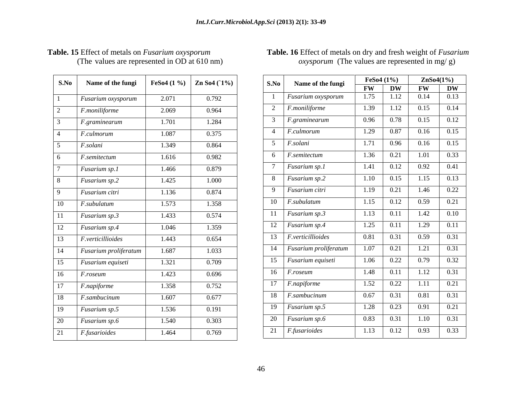| S.No           | Name of the fungi         | FeSo $4(1\%)$ | Zn So4 (1%) |
|----------------|---------------------------|---------------|-------------|
| 1              | Fusarium oxysporum        | 2.071         | 0.792       |
| $\overline{2}$ | F.moniliforme             | 2.069         | 0.964       |
| 3              | F.graminearum             | 1.701         | 1.284       |
| $\overline{4}$ | F.culmorum                | 1.087         | 0.375       |
| 5              | F.solani                  | 1.349         | 0.864       |
| 6              | $F$ .semitectum           | 1.616         | 0.982       |
| 7              | Fusarium sp.1             | 1.466         | 0.879       |
| 8              | Fusarium sp.2             | 1.425         | 1.000       |
| 9              | Fusarium citri            | 1.136         | 0.874       |
| 10             | $\overline{F}$ .subulatum | 1.573         | 1.358       |
| 11             | Fusarium sp.3             | 1.433         | 0.574       |
| 12             | Fusarium sp.4             | 1.046         | 1.359       |
| 13             | F.verticillioides         | 1.443         | 0.654       |
| 14             | Fusarium proliferatum     | 1.687         | 1.033       |
| 15             | Fusarium equiseti         | 1.321         | 0.709       |
| 16             | F.roseum                  | 1.423         | 0.696       |
| 17             | F.napiforme               | 1.358         | 0.752       |
| 18             | F.sambucinum              | 1.607         | 0.677       |
| 19             | Fusarium sp.5             | 1.536         | 0.191       |
| 20             | Fusarium sp.6             | 1.540         | 0.303       |
| 21             | F.fusarioides             | 1.464         | 0.769       |

### **S.No Name of the fungi FeSo4** (1 %) **Zn So4** (1%) **S.No Name of the fungi FESO4** (1 %) **Zn So4** (1 %) *Fusarium oxysporum* 2.071 0.792 1 *Fusarium oxysporum* 1.75 1.12 0.14 0.13 *F.moniliforme* 2.069 0.964 2 *F.moniliforme* 1.1.39 1.12 0.13 0.14 *F.graminearum* 1.701 1.284 3 *F.graminearum* 10.96 0.18 0.15 0.12 *F.culmorum* 1.087 0.375 4 *F.culmorum* 1.29 0.87 0.16 0.15 *F.solani* 1.349 0.864 3 F.solani 1.71 0.96 0.16 0.15 *F.semitectum* 1.616 0.982 **6** *F.semitectum* 1.50 0.21 1.01 0.55 *Fusarium sp.1* 1.466 0.879 1 *I* Fusarium sp.1 1.41 0.12 0.92 0.41 *Fusarium sp.2* 1.425 1.000 1 8 *Fusarium sp.2* 1.10 0.15 1.15 0.13 *Fusarium citri* | 1.136 | 0.874 | 9 *Fusarium citri* | 1.19 | 0.21 | 1.46 | 0.22 | *F.subulatum* 1.573 1.358 1 1.0 *F.subulatum* 1.15 0.12 0.59 0.21 *Fusarium sp.3* 1.433 0.574 11 *Fusarium sp.3* 1.13 0.11 1.42 0.10 12 *Fusarium sp.4* 1.046 1.359 1 <sup>12</sup> *Fusarium sp.4* 1.25 0.11 1.29 0.11 *F.verticillioides* 1.443 0.654 113 *F.verticillioides* 0.81 0.31 0.59 0.31 *Fusarium proliferatum* | 1.687 | 1.033 | 14 *Fusarium proliferatum* | 1.07 | 0.21 | 1.21 | 0.31 | 1.21 | 0.31 *Fusarium equiseti* | 1.321 | 0.709 | 15 *Fusarium equiseti* | 1.06 | 0.22 | 0.79 | 0.32 | *F.roseum* 1.423 0.696 10 *F.roseum* 1.48 0.11 1.12 0.31 *F.napiforme* 1.358 0.752 1 *II F.napiforme* 1.52 0.22 1.11 0.21 *F.sambucinum* 1.607 0.677 18 *F.sambucinum* 0.67 0.51 0.81 0.31 *Fusarium sp.5* 1.536 0.191 19 *Fusarium sp.* 1.28 0.23 0.91 0.21 *Fusarium sp.6* 1.540 0.303 degree 20 *Fusarium sp.* 0.83 0.31 1.10 0.31 *F.fusarioides* 1.464 0.769 die 1.13 f<sup>r.fusarioides</sup> 1.13 0.12 0.93 0.55 **FeSo4 (1%) ZnSo4(1%) S.No Name of the fungi FW DW FW DW** *Fusarium oxysporum* 1.75 1.12 0.14 0.13 *F.moniliforme* 1.39 1.12 0.15 0.14 *F.graminearum* 0.96 0.78 0.15 0.12 *F.culmorum* 1.29 0.87 0.16 0.15 *F.solani* 1.71 0.96 0.16 0.15 *F.semitectum* 1.36 0.21 1.01 0.33 *Fusarium sp.1* 1.41 0.12 0.92 0.41 *Fusarium sp.2* 1.10 0.15 1.15 0.13 *Fusarium citri* 1.19 0.21 1.46 0.22 *F.subulatum* 1.15 0.12 0.59 0.21 *Fusarium sp.3* 1.13 0.11 1.42 0.10 *Fusarium sp.4* 1.25 0.11 1.29 0.11 *F.verticillioides* 0.81 0.31 0.59 0.31 *Fusarium proliferatum* 1.07 0.21 1.21 0.31 *Fusarium equiseti* 1.06 0.22 0.79 0.32 *F.roseum* 1.48 0.11 1.12 0.31 *F.napiforme* 1.52 0.22 1.11 0.21 *F.sambucinum* 0.67 0.31 0.81 0.31 *Fusarium sp.5* 1.28 0.23 0.91 0.21 *Fusarium sp.6* 1 0.83 0.31 1.10 0.31 *F.fusarioides* 1.13 0.12 0.93 0.33

### **Table. 15** Effect of metals on *Fusarium oxysporum* **Table. 16** Effect of metals on dry and fresh weight of *Fusarium*  (The values are represented in OD at 610 nm)  $oxysporum$  (The values are represented in mg/ g)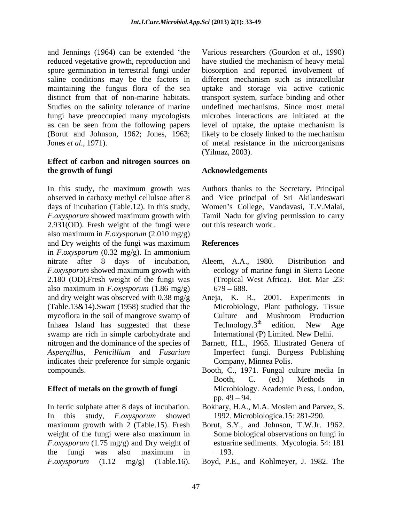and Jennings (1964) can be extended 'the Various researchers (Gourdon *et al.*, 1990) reduced vegetative growth, reproduction and spore germination in terrestrial fungi under biosorption and reported involvement of saline conditions may be the factors in different mechanism such as intracellular maintaining the fungus flora of the sea uptake and storage via active cationic distinct from that of non-marine habitats. transport system, surface binding and other Studies on the salinity tolerance of marine undefined mechanisms. Since most metal fungi have preoccupied many mycologists as can be seen from the following papers level of uptake, the uptake mechanism is (Borut and Johnson, 1962; Jones, 1963; likely to be closely linked to the mechanism Jones *et al*., 1971). of metal resistance in the microorganisms

### **Effect of carbon and nitrogen sources on the growth of fungi Acknowledgements**

In this study, the maximum growth was Authors thanks to the Secretary, Principal observed in carboxy methyl cellulsoe after 8 and Vice principal of Sri Akilandeswari days of incubation (Table.12). In this study, Women's College, Vandavasi, T.V.Malai, *F.oxysporum* showed maximum growth with Tamil Nadu for giving permission to carry 2.931(OD). Fresh weight of the fungi were also maximum in *F.oxysporum* (2.010 mg/g) and Dry weights of the fungi was maximum References in *F.oxysporum* (0.32 mg/g). In ammonium nitrate after 8 days of incubation, Aleem, A.A., 1980. Distribution and *F.oxysporum* showed maximum growth with 2.180 (OD)**.**Fresh weight of the fungi was also maximum in *F.oxysporum*  $(1.86 \text{ mg/g})$  679 – 688. and dry weight was observed with 0.38 mg/g Aneja, K. R., 2001. Experiments in (Table.13&14).Swart (1958) studied that the mycoflora in the soil of mangrove swamp of Culture and Mushroom Production<br>Inhaea Island has suggested that these Technology.3<sup>th</sup> edition. New Age Inhaea Island has suggested that these Technology.3<sup>th</sup> edition. New Age swamp are rich in simple carbohydrate and indicates their preference for simple organic compounds. Booth, C., 1971. Fungal culture media In and Lenings (1964) can be estead the Various researchers (Gourdon *et al.*, 1990)<br>
poper-germanism in etrosying in the Various results and the control of the control of the control of the control of the control of the co

In ferric sulphate after 8 days of incubation. Bokhary, H.A., M.A. Moslem and Parvez, S. In this study, *F.oxysporum* showed maximum growth with 2 (Table.15). Fresh Borut, S.Y., and Johnson, T.W.Jr. 1962. weight of the fungi were also maximum in *F.oxysporum* (1.75 mg/g) and Dry weight of the fungi was also maximum in  $-193$ .

have studied the mechanism of heavy metal microbes interactions are initiated at the (Yilmaz, 2003).

out this research work .

### **References**

- Aleem, A.A., 1980. Distribution and ecology of marine fungi in Sierra Leone (Tropical West Africa). Bot. Mar .23:  $679 - 688.$
- Microbiology, Plant pathology, Tissue Culture and Mushroom Production Technology.3<sup>th</sup> edition. New Age edition. New Age International (P) Limited. New Delhi.
- nitrogen and the dominance of the species of Barnett, H.L., 1965. Illustrated Genera of *Aspergillus*, *Penicillium* and *Fusarium* Imperfect fungi. Burgess Publishing Company, Minnea Polis.
- **Effect of metals on the growth of fungi** Microbiology. Academic Press, London, Booth, C. (ed.) Methods in pp.  $49 - 94$ .
	- 1992. Microbiologica.15: 281-290.
	- Some biological observations on fungi in estuarine sediments. Mycologia*.* 54: 181 193.
	- Boyd, P.E., and Kohlmeyer, J. 1982. The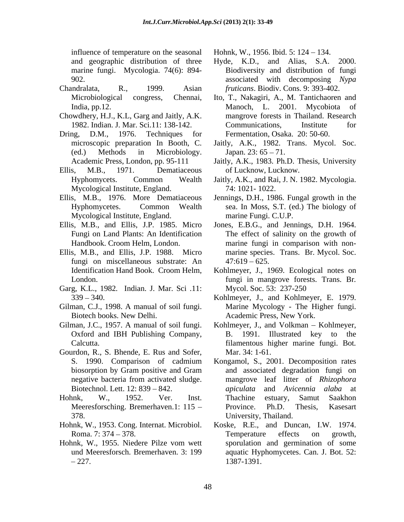influence of temperature on the seasonal marine fungi. Mycologia. 74(6): 894-

- 
- Chowdhery, H.J., K.L, Garg and Jaitly, A.K.
- Dring, D.M., 1976. Techniques for Fermentation, Osaka. 20: 50-60.
- Ellis, M.B., 1971. Dematiaceous of Lucknow, Lucknow. Mycological Institute, England.
- Ellis, M.B., 1976. More Dematiaceous Mycological Institute, England.
- 
- Ellis, M.B., and Ellis, J.P. 1988. Micro fungi on miscellaneous substrate: An  $47:619-625$ .
- Garg, K.L., 1982*.* Indian. J. Mar. Sci .11:
- Gilman, C.J., 1998. A manual of soil fungi.
- Oxford and IBH Publishing Company,
- Gourdon, R., S. Bhende, E. Rus and Sofer, Mar. 34: 1-61.
- 
- 
- Hohnk, W., 1955. Niedere Pilze vom wett

Hohnk, W., 1956. Ibid. 5: 124 – 134.

- and geographic distribution of three Hyde, K.D., and Alias, S.A. 2000. 902. associated with decomposing *Nypa*  Chandralata, R., 1999. Asian *fruticans*. Biodiv. Cons. 9: 393-402. Hyde, K.D., and Alias, S.A. Biodiversity and distribution of fungi
	- Microbiological congress, Chennai, Ito, T., Nakagiri, A., M. Tantichaoren and India, pp.12. Manoch, L. 2001. Mycobiota of 1982. Indian. J. Mar. Sci.11: 138-142. mangrove forests in Thailand. Research Communications, Institute for
	- microscopic preparation In Booth, C. Jaitly, A.K., 1982. Trans. Mycol. Soc. (ed.) Methods in Microbiology. Japan.  $23: 65 - 71$ .
	- Academic Press, London, pp. 95-111 Jaitly, A.K., 1983. Ph.D. Thesis, University of Lucknow, Lucknow.
	- Hyphomycets. Common Wealth Jaitly, A.K., and Rai, J. N. 1982. Mycologia. 74: 1021- 1022.
	- Hyphomycetes. Common Wealth sea. In Moss, S.T. (ed.) The biology of Jennings, D.H., 1986. Fungal growth in the marine Fungi. C.U.P.
- Ellis, M.B., and Ellis, J.P. 1985. Micro Jones, E.B.G., and Jennings, D.H. 1964. Fungi on Land Plants: An Identification The effect of salinity on the growth of Handbook. Croom Helm, London. marine fungi in comparison with non marine species. Trans. Br. Mycol. Soc.  $47:619 - 625$ .
	- Identification Hand Book. Croom Helm, Kohlmeyer, J., 1969. Ecological notes on London. fungi in mangrove forests. Trans. Br*.* Mycol. Soc. 53: 237-250
	- 339 340. Kohlmeyer, J., and Kohlmeyer, E. 1979. Biotech books. New Delhi. Academic Press, New York. Marine Mycology - The Higher fungi.
- Gilman, J.C., 1957. A manual of soil fungi. Kohlmeyer, J., and Volkman Kohlmeyer, Calcutta. filamentous higher marine fungi. Bot*.* B. 1991. Illustrated key to the Mar. 34: 1-61.
- S. 1990. Comparison of cadmium Kongamol, S., 2001. Decomposition rates biosorption by Gram positive and Gram and associated degradation fungi on negative bacteria from activated sludge. mangrove leaf litter of *Rhizophora*  Biotechnol. Lett. 12: 839 – 842. *apiculata* and Avicennia alaba at Hohnk, W., 1952. Ver. Inst. Meeresforsching. Bremerhaven.1: 115 - Province. Ph.D. Thesis, Kasesart 378. University, Thailand. *apiculata* and *Avicennia alaba* at Thachine estuary, Samut Saakhon Province. Ph.D. Thesis, Kasesart
- Hohnk, W., 1953. Cong. Internat. Microbiol. Koske, R.E., and Duncan, I.W. 1974. Roma. 7: 374 – 378. Temperature effects on growth, und Meeresforsch. Bremerhaven. 3: 199 aquatic Hyphomycetes. Can. J. Bot. 52: 227. 1387-1391. Temperature effects on growth, sporulation and germination of some 1387-1391.